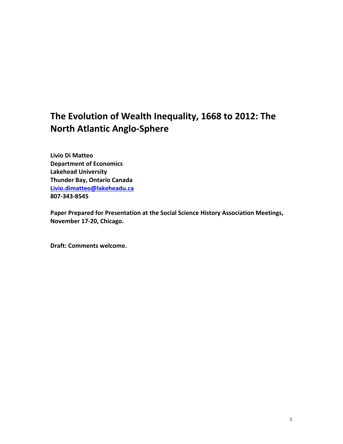# The Evolution of Wealth Inequality, 1668 to 2012: The **North Atlantic Anglo-Sphere**

**Livio Di Matteo Department of Economics Lakehead University Thunder Bay, Ontario Canada Livio.dimatteo@lakeheadu.ca 807-343-8545**

Paper Prepared for Presentation at the Social Science History Association Meetings, **November 17-20, Chicago.** 

Draft: Comments welcome.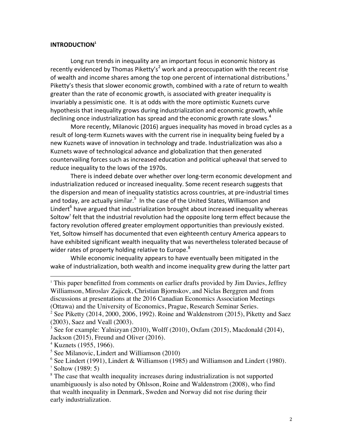#### **INTRODUCTION1**

Long run trends in inequality are an important focus in economic history as recently evidenced by Thomas Piketty's<sup>2</sup> work and a preoccupation with the recent rise of wealth and income shares among the top one percent of international distributions.<sup>3</sup> Piketty's thesis that slower economic growth, combined with a rate of return to wealth greater than the rate of economic growth, is associated with greater inequality is invariably a pessimistic one. It is at odds with the more optimistic Kuznets curve hypothesis that inequality grows during industrialization and economic growth, while declining once industrialization has spread and the economic growth rate slows.<sup>4</sup>

More recently, Milanovic (2016) argues inequality has moved in broad cycles as a result of long-term Kuznets waves with the current rise in inequality being fueled by a new Kuznets wave of innovation in technology and trade. Industrialization was also a Kuznets wave of technological advance and globalization that then generated countervailing forces such as increased education and political upheaval that served to reduce inequality to the lows of the 1970s.

There is indeed debate over whether over long-term economic development and industrialization reduced or increased inequality. Some recent research suggests that the dispersion and mean of inequality statistics across countries, at pre-industrial times and today, are actually similar.<sup>5</sup> In the case of the United States, Williamson and Lindert $<sup>6</sup>$  have argued that industrialization brought about increased inequality whereas</sup> Soltow<sup>7</sup> felt that the industrial revolution had the opposite long term effect because the factory revolution offered greater employment opportunities than previously existed. Yet, Soltow himself has documented that even eighteenth century America appears to have exhibited significant wealth inequality that was nevertheless tolerated because of wider rates of property holding relative to Europe.<sup>8</sup>

While economic inequality appears to have eventually been mitigated in the wake of industrialization, both wealth and income inequality grew during the latter part

<sup>&</sup>lt;sup>1</sup> This paper benefitted from comments on earlier drafts provided by Jim Davies, Jeffrey Williamson, Miroslav Zajicek, Christian Bjornskov, and Niclas Berggren and from discussions at presentations at the 2016 Canadian Economics Association Meetings (Ottawa) and the University of Economics, Prague, Research Seminar Series.

<sup>&</sup>lt;sup>2</sup> See Piketty (2014, 2000, 2006, 1992). Roine and Waldenstrom (2015), Piketty and Saez (2003), Saez and Veall (2003).

<sup>&</sup>lt;sup>3</sup> See for example: Yalnizyan (2010), Wolff (2010), Oxfam (2015), Macdonald (2014), Jackson (2015), Freund and Oliver (2016).

 $4$  Kuznets (1955, 1966).

 $<sup>5</sup>$  See Milanovic, Lindert and Williamson (2010)</sup>

 $6$  See Lindert (1991), Lindert & Williamson (1985) and Williamson and Lindert (1980).

<sup>7</sup> Soltow (1989: 5)

<sup>&</sup>lt;sup>8</sup> The case that wealth inequality increases during industrialization is not supported unambiguously is also noted by Ohlsson, Roine and Waldenstrom (2008), who find that wealth inequality in Denmark, Sweden and Norway did not rise during their early industrialization.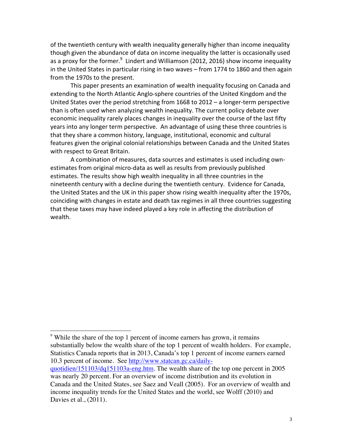of the twentieth century with wealth inequality generally higher than income inequality though given the abundance of data on income inequality the latter is occasionally used as a proxy for the former. $^9$  Lindert and Williamson (2012, 2016) show income inequality in the United States in particular rising in two waves – from 1774 to 1860 and then again from the 1970s to the present.

This paper presents an examination of wealth inequality focusing on Canada and extending to the North Atlantic Anglo-sphere countries of the United Kingdom and the United States over the period stretching from  $1668$  to  $2012 - a$  longer-term perspective than is often used when analyzing wealth inequality. The current policy debate over economic inequality rarely places changes in inequality over the course of the last fifty years into any longer term perspective. An advantage of using these three countries is that they share a common history, language, institutional, economic and cultural features given the original colonial relationships between Canada and the United States with respect to Great Britain.

A combination of measures, data sources and estimates is used including ownestimates from original micro-data as well as results from previously published estimates. The results show high wealth inequality in all three countries in the nineteenth century with a decline during the twentieth century. Evidence for Canada, the United States and the UK in this paper show rising wealth inequality after the 1970s, coinciding with changes in estate and death tax regimes in all three countries suggesting that these taxes may have indeed played a key role in affecting the distribution of wealth. 

<sup>&</sup>lt;sup>9</sup> While the share of the top 1 percent of income earners has grown, it remains substantially below the wealth share of the top 1 percent of wealth holders. For example, Statistics Canada reports that in 2013, Canada's top 1 percent of income earners earned 10.3 percent of income. See http://www.statcan.gc.ca/dailyquotidien/151103/dq151103a-eng.htm. The wealth share of the top one percent in 2005

was nearly 20 percent. For an overview of income distribution and its evolution in Canada and the United States, see Saez and Veall (2005). For an overview of wealth and income inequality trends for the United States and the world, see Wolff (2010) and Davies et al., (2011).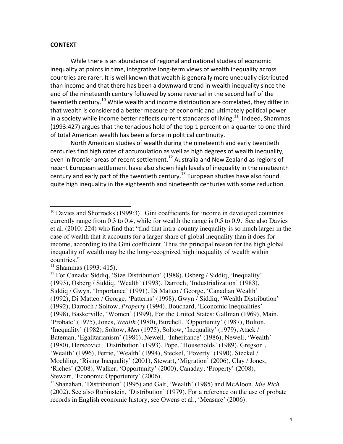#### **CONTEXT**

While there is an abundance of regional and national studies of economic inequality at points in time, integrative long-term views of wealth inequality across countries are rarer. It is well known that wealth is generally more unequally distributed than income and that there has been a downward trend in wealth inequality since the end of the nineteenth century followed by some reversal in the second half of the twentieth century.<sup>10</sup> While wealth and income distribution are correlated, they differ in that wealth is considered a better measure of economic and ultimately political power in a society while income better reflects current standards of living.<sup>11</sup> Indeed, Shammas (1993:427) argues that the tenacious hold of the top 1 percent on a quarter to one third of total American wealth has been a force in political continuity.

North American studies of wealth during the nineteenth and early twentieth centuries find high rates of accumulation as well as high degrees of wealth inequality, even in frontier areas of recent settlement.<sup>12</sup> Australia and New Zealand as regions of recent European settlement have also shown high levels of inequality in the nineteenth century and early part of the twentieth century.<sup>13</sup> European studies have also found quite high inequality in the eighteenth and nineteenth centuries with some reduction

 $10$  Davies and Shorrocks (1999:3). Gini coefficients for income in developed countries currently range from 0.3 to 0.4, while for wealth the range is 0.5 to 0.9. See also Davies et al. (2010: 224) who find that "find that intra-country inequality is so much larger in the case of wealth that it accounts for a larger share of global inequality than it does for income, according to the Gini coefficient. Thus the principal reason for the high global inequality of wealth may be the long-recognized high inequality of wealth within countries."

 $11$  Shammas (1993: 415).

<sup>&</sup>lt;sup>12</sup> For Canada: Siddiq, 'Size Distribution' (1988), Osberg / Siddiq, 'Inequality' (1993), Osberg / Siddiq, 'Wealth' (1993), Darroch, 'Industrialization' (1983), Siddiq / Gwyn, 'Importance' (1991), Di Matteo / George, 'Canadian Wealth' (1992), Di Matteo / George, 'Patterns' (1998), Gwyn / Siddiq, 'Wealth Distribution' (1992), Darroch / Soltow, *Property* (1994), Bouchard, 'Economic Inequalities' (1998), Baskerville, 'Women' (1999), For the United States: Gallman (1969), Main, 'Probate' (1975), Jones, *Wealth* (1980), Burchell, 'Opportunity' (1987), Bolton, 'Inequality' (1982), Soltow, *Men* (1975), Soltow, 'Inequality' (1979), Atack / Bateman, 'Egalitarianism' (1981), Newell, 'Inheritance' (1986), Newell, 'Wealth' (1980), Herscovici, 'Distribution' (1993), Pope, 'Households' (1989), Gregson , 'Wealth' (1996), Ferrie, 'Wealth' (1994), Steckel, 'Poverty' (1990), Steckel / Moehling, 'Rising Inequality' (2001), Stewart, 'Migration' (2006), Clay / Jones, 'Riches' (2008), Walker, 'Opportunity' (2000), Canaday, 'Property' (2008), Stewart, 'Economic Opportunity' (2006).

<sup>13</sup> Shanahan, 'Distribution' (1995) and Galt, 'Wealth' (1985) and McAloon, *Idle Rich* (2002). See also Rubinstein, 'Distribution' (1979). For a reference on the use of probate records in English economic history, see Owens et al., 'Measure' (2006).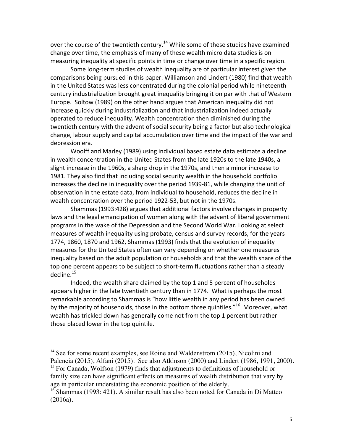over the course of the twentieth century.<sup>14</sup> While some of these studies have examined change over time, the emphasis of many of these wealth micro data studies is on measuring inequality at specific points in time or change over time in a specific region.

Some long-term studies of wealth inequality are of particular interest given the comparisons being pursued in this paper. Williamson and Lindert (1980) find that wealth in the United States was less concentrated during the colonial period while nineteenth century industrialization brought great inequality bringing it on par with that of Western Europe. Soltow (1989) on the other hand argues that American inequality did not increase quickly during industrialization and that industrialization indeed actually operated to reduce inequality. Wealth concentration then diminished during the twentieth century with the advent of social security being a factor but also technological change, labour supply and capital accumulation over time and the impact of the war and depression era.

Woolff and Marley (1989) using individual based estate data estimate a decline in wealth concentration in the United States from the late 1920s to the late 1940s, a slight increase in the 1960s, a sharp drop in the 1970s, and then a minor increase to 1981. They also find that including social security wealth in the household portfolio increases the decline in inequality over the period 1939-81, while changing the unit of observation in the estate data, from individual to household, reduces the decline in wealth concentration over the period 1922-53, but not in the 1970s.

Shammas (1993:428) argues that additional factors involve changes in property laws and the legal emancipation of women along with the advent of liberal government programs in the wake of the Depression and the Second World War. Looking at select measures of wealth inequality using probate, census and survey records, for the years 1774, 1860, 1870 and 1962, Shammas (1993) finds that the evolution of inequality measures for the United States often can vary depending on whether one measures inequality based on the adult population or households and that the wealth share of the top one percent appears to be subject to short-term fluctuations rather than a steady decline.<sup>15</sup>

Indeed, the wealth share claimed by the top 1 and 5 percent of households appears higher in the late twentieth century than in 1774. What is perhaps the most remarkable according to Shammas is "how little wealth in any period has been owned by the majority of households, those in the bottom three quintiles."<sup>16</sup> Moreover, what wealth has trickled down has generally come not from the top 1 percent but rather those placed lower in the top quintile.

 $14$  See for some recent examples, see Roine and Waldenstrom (2015), Nicolini and Palencia (2015), Alfani (2015). See also Atkinson (2000) and Lindert (1986, 1991, 2000).  $15$  For Canada, Wolfson (1979) finds that adjustments to definitions of household or family size can have significant effects on measures of wealth distribution that vary by age in particular understating the economic position of the elderly.

<sup>&</sup>lt;sup>16</sup> Shammas (1993: 421). A similar result has also been noted for Canada in Di Matteo (2016a).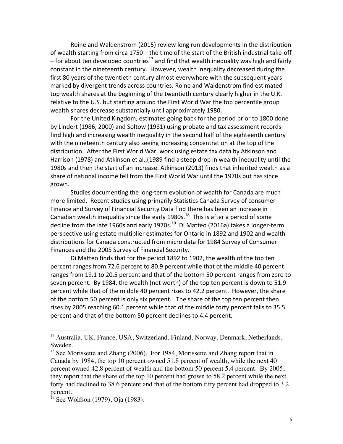Roine and Waldenstrom (2015) review long run developments in the distribution of wealth starting from circa  $1750 -$  the time of the start of the British industrial take-off – for about ten developed countries<sup>17</sup> and find that wealth inequality was high and fairly constant in the nineteenth century. However, wealth inequality decreased during the first 80 years of the twentieth century almost everywhere with the subsequent years marked by divergent trends across countries. Roine and Waldenstrom find estimated top wealth shares at the beginning of the twentieth century clearly higher in the U.K. relative to the U.S. but starting around the First World War the top percentile group wealth shares decrease substantially until approximately 1980.

For the United Kingdom, estimates going back for the period prior to 1800 done by Lindert (1986, 2000) and Soltow (1981) using probate and tax assessment records find high and increasing wealth inequality in the second half of the eighteenth century with the nineteenth century also seeing increasing concentration at the top of the distribution. After the First World War, work using estate tax data by Atkinson and Harrison (1978) and Atkinson et al.,(1989 find a steep drop in wealth inequality until the 1980s and then the start of an increase. Atkinson (2013) finds that inherited wealth as a share of national income fell from the First World War until the 1970s but has since grown.

Studies documenting the long-term evolution of wealth for Canada are much more limited. Recent studies using primarily Statistics Canada Survey of consumer Finance and Survey of Financial Security Data find there has been an increase in Canadian wealth inequality since the early 1980s.<sup>18</sup> This is after a period of some decline from the late 1960s and early 1970s.<sup>19</sup> Di Matteo (2016a) takes a longer-term perspective using estate multiplier estimates for Ontario in 1892 and 1902 and wealth distributions for Canada constructed from micro data for 1984 Survey of Consumer Finances and the 2005 Survey of Financial Security.

Di Matteo finds that for the period 1892 to 1902, the wealth of the top ten percent ranges from 72.6 percent to 80.9 percent while that of the middle 40 percent ranges from 19.1 to 20.5 percent and that of the bottom 50 percent ranges from zero to seven percent. By 1984, the wealth (net worth) of the top ten percent is down to 51.9 percent while that of the middle 40 percent rises to 42.2 percent. However, the share of the bottom 50 percent is only six percent. The share of the top ten percent then rises by 2005 reaching 60.1 percent while that of the middle forty percent falls to 35.5 percent and that of the bottom 50 percent declines to 4.4 percent.

<sup>&</sup>lt;sup>17</sup> Australia, UK, France, USA, Switzerland, Finland, Norway, Denmark, Netherlands, Sweden.

 $18$  See Morissette and Zhang (2006). For 1984, Morissette and Zhang report that in Canada by 1984, the top 10 percent owned 51.8 percent of wealth, while the next 40 percent owned 42.8 percent of wealth and the bottom 50 percent 5.4 percent. By 2005, they report that the share of the top 10 percent had grown to 58.2 percent while the next forty had declined to 38.6 percent and that of the bottom fifty percent had dropped to 3.2 percent.

<sup>19</sup> See Wolfson (1979), Oja (1983).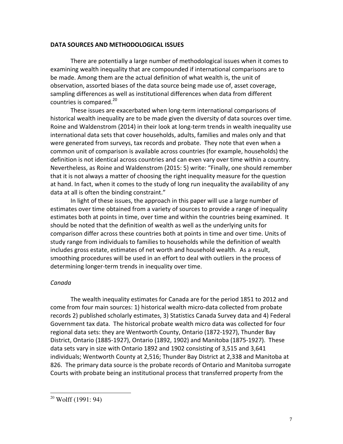#### **DATA SOURCES AND METHODOLOGICAL ISSUES**

There are potentially a large number of methodological issues when it comes to examining wealth inequality that are compounded if international comparisons are to be made. Among them are the actual definition of what wealth is, the unit of observation, assorted biases of the data source being made use of, asset coverage, sampling differences as well as institutional differences when data from different countries is compared. $20$ 

These issues are exacerbated when long-term international comparisons of historical wealth inequality are to be made given the diversity of data sources over time. Roine and Waldenstrom (2014) in their look at long-term trends in wealth inequality use international data sets that cover households, adults, families and males only and that were generated from surveys, tax records and probate. They note that even when a common unit of comparison is available across countries (for example, households) the definition is not identical across countries and can even vary over time within a country. Nevertheless, as Roine and Waldenstrom (2015: 5) write: "Finally, one should remember that it is not always a matter of choosing the right inequality measure for the question at hand. In fact, when it comes to the study of long run inequality the availability of any data at all is often the binding constraint."

In light of these issues, the approach in this paper will use a large number of estimates over time obtained from a variety of sources to provide a range of inequality estimates both at points in time, over time and within the countries being examined. It should be noted that the definition of wealth as well as the underlying units for comparison differ across these countries both at points in time and over time. Units of study range from individuals to families to households while the definition of wealth includes gross estate, estimates of net worth and household wealth. As a result, smoothing procedures will be used in an effort to deal with outliers in the process of determining longer-term trends in inequality over time.

## *Canada*

The wealth inequality estimates for Canada are for the period 1851 to 2012 and come from four main sources: 1) historical wealth micro-data collected from probate records 2) published scholarly estimates, 3) Statistics Canada Survey data and 4) Federal Government tax data. The historical probate wealth micro data was collected for four regional data sets: they are Wentworth County, Ontario (1872-1927), Thunder Bay District, Ontario (1885-1927), Ontario (1892, 1902) and Manitoba (1875-1927). These data sets vary in size with Ontario 1892 and 1902 consisting of 3,515 and 3,641 individuals; Wentworth County at 2,516; Thunder Bay District at 2,338 and Manitoba at 826. The primary data source is the probate records of Ontario and Manitoba surrogate Courts with probate being an institutional process that transferred property from the

 $20$  Wolff (1991: 94)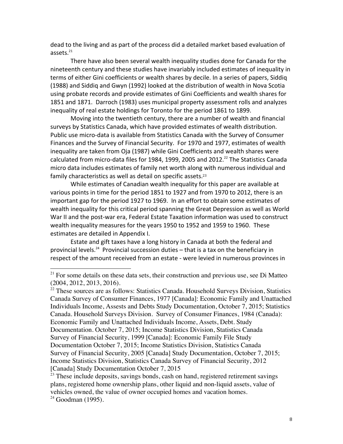dead to the living and as part of the process did a detailed market based evaluation of assets. $^{21}$ 

There have also been several wealth inequality studies done for Canada for the nineteenth century and these studies have invariably included estimates of inequality in terms of either Gini coefficients or wealth shares by decile. In a series of papers, Siddig (1988) and Siddiq and Gwyn (1992) looked at the distribution of wealth in Nova Scotia using probate records and provide estimates of Gini Coefficients and wealth shares for 1851 and 1871. Darroch (1983) uses municipal property assessment rolls and analyzes inequality of real estate holdings for Toronto for the period 1861 to 1899.

Moving into the twentieth century, there are a number of wealth and financial surveys by Statistics Canada, which have provided estimates of wealth distribution. Public use micro-data is available from Statistics Canada with the Survey of Consumer Finances and the Survey of Financial Security. For 1970 and 1977, estimates of wealth inequality are taken from Oja (1987) while Gini Coefficients and wealth shares were calculated from micro-data files for 1984, 1999, 2005 and 2012.<sup>22</sup> The Statistics Canada micro data includes estimates of family net worth along with numerous individual and family characteristics as well as detail on specific assets. $23$ 

While estimates of Canadian wealth inequality for this paper are available at various points in time for the period 1851 to 1927 and from 1970 to 2012, there is an important gap for the period 1927 to 1969. In an effort to obtain some estimates of wealth inequality for this critical period spanning the Great Depression as well as World War II and the post-war era, Federal Estate Taxation information was used to construct wealth inequality measures for the years 1950 to 1952 and 1959 to 1960. These estimates are detailed in Appendix I.

Estate and gift taxes have a long history in Canada at both the federal and provincial levels.<sup>24</sup> Provincial succession duties  $-$  that is a tax on the beneficiary in respect of the amount received from an estate - were levied in numerous provinces in

 

 $22$  These sources are as follows: Statistics Canada. Household Surveys Division, Statistics Canada Survey of Consumer Finances, 1977 [Canada]: Economic Family and Unattached Individuals Income, Assests and Debts Study Documentation, October 7, 2015; Statistics Canada. Household Surveys Division. Survey of Consumer Finances, 1984 (Canada): Economic Family and Unattached Individuals Income, Assets, Debt. Study Documentation. October 7, 2015; Income Statistics Division, Statistics Canada Survey of Financial Security, 1999 [Canada]: Economic Family File Study Documentation October 7, 2015; Income Statistics Division, Statistics Canada Survey of Financial Security, 2005 [Canada] Study Documentation, October 7, 2015; Income Statistics Division, Statistics Canada Survey of Financial Security, 2012 [Canada] Study Documentation October 7, 2015

 $21$  For some details on these data sets, their construction and previous use, see Di Matteo (2004, 2012, 2013, 2016).

<sup>&</sup>lt;sup>23</sup> These include deposits, savings bonds, cash on hand, registered retirement savings plans, registered home ownership plans, other liquid and non-liquid assets, value of vehicles owned, the value of owner occupied homes and vacation homes.  $24$  Goodman (1995).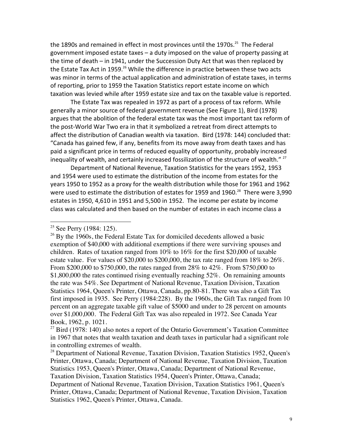the 1890s and remained in effect in most provinces until the 1970s.<sup>25</sup> The Federal government imposed estate taxes  $-$  a duty imposed on the value of property passing at the time of death  $-$  in 1941, under the Succession Duty Act that was then replaced by the Estate Tax Act in 1959.<sup>26</sup> While the difference in practice between these two acts was minor in terms of the actual application and administration of estate taxes, in terms of reporting, prior to 1959 the Taxation Statistics report estate income on which taxation was levied while after 1959 estate size and tax on the taxable value is reported.

The Estate Tax was repealed in 1972 as part of a process of tax reform. While generally a minor source of federal government revenue (See Figure 1), Bird (1978) argues that the abolition of the federal estate tax was the most important tax reform of the post-World War Two era in that it symbolized a retreat from direct attempts to affect the distribution of Canadian wealth via taxation. Bird (1978: 144) concluded that: "Canada has gained few, if any, benefits from its move away from death taxes and has paid a significant price in terms of reduced equality of opportunity, probably increased inequality of wealth, and certainly increased fossilization of the structure of wealth."  $27$ 

Department of National Revenue, Taxation Statistics for the years 1952, 1953 and 1954 were used to estimate the distribution of the income from estates for the years 1950 to 1952 as a proxy for the wealth distribution while those for 1961 and 1962 were used to estimate the distribution of estates for 1959 and 1960.<sup>28</sup> There were 3,990 estates in 1950, 4,610 in 1951 and 5,500 in 1952. The income per estate by income class was calculated and then based on the number of estates in each income class a

<sup>&</sup>lt;sup>25</sup> See Perry (1984: 125).

 $26$  By the 1960s, the Federal Estate Tax for domiciled decedents allowed a basic exemption of \$40,000 with additional exemptions if there were surviving spouses and children. Rates of taxation ranged from  $10\%$  to  $16\%$  for the first \$20,000 of taxable estate value. For values of \$20,000 to \$200,000, the tax rate ranged from 18% to 26%. From \$200,000 to \$750,000, the rates ranged from 28% to 42%. From \$750,000 to \$1,800,000 the rates continued rising eventually reaching 52%. On remaining amounts the rate was 54%. See Department of National Revenue, Taxation Division, Taxation Statistics 1964, Queen's Printer, Ottawa, Canada, pp.80-81. There was also a Gift Tax first imposed in 1935. See Perry (1984:228). By the 1960s, the Gift Tax ranged from 10 percent on an aggregate taxable gift value of \$5000 and under to 28 percent on amounts over \$1,000,000. The Federal Gift Tax was also repealed in 1972. See Canada Year Book, 1962, p. 1021.

 $27$  Bird (1978: 140) also notes a report of the Ontario Government's Taxation Committee in 1967 that notes that wealth taxation and death taxes in particular had a significant role in controlling extremes of wealth.

 $^{28}$  Department of National Revenue, Taxation Division, Taxation Statistics 1952, Queen's Printer, Ottawa, Canada; Department of National Revenue, Taxation Division, Taxation Statistics 1953, Queen's Printer, Ottawa, Canada; Department of National Revenue, Taxation Division, Taxation Statistics 1954, Queen's Printer, Ottawa, Canada; Department of National Revenue, Taxation Division, Taxation Statistics 1961, Queen's Printer, Ottawa, Canada; Department of National Revenue, Taxation Division, Taxation Statistics 1962, Queen's Printer, Ottawa, Canada.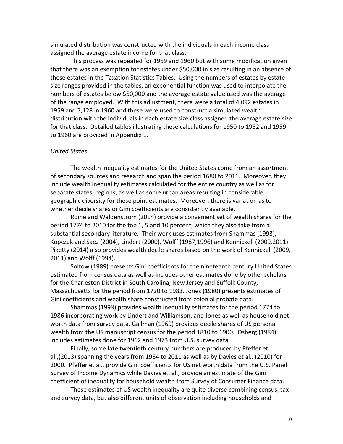simulated distribution was constructed with the individuals in each income class assigned the average estate income for that class.

This process was repeated for 1959 and 1960 but with some modification given that there was an exemption for estates under \$50,000 in size resulting in an absence of these estates in the Taxation Statistics Tables. Using the numbers of estates by estate size ranges provided in the tables, an exponential function was used to interpolate the numbers of estates below \$50,000 and the average estate value used was the average of the range employed. With this adjustment, there were a total of 4,092 estates in 1959 and 7,128 in 1960 and these were used to construct a simulated wealth distribution with the individuals in each estate size class assigned the average estate size for that class. Detailed tables illustrating these calculations for 1950 to 1952 and 1959 to 1960 are provided in Appendix 1.

## *United States*

The wealth inequality estimates for the United States come from an assortment of secondary sources and research and span the period 1680 to 2011. Moreover, they include wealth inequality estimates calculated for the entire country as well as for separate states, regions, as well as some urban areas resulting in considerable geographic diversity for these point estimates. Moreover, there is variation as to whether decile shares or Gini coefficients are consistently available.

Roine and Waldenstrom (2014) provide a convenient set of wealth shares for the period 1774 to 2010 for the top 1, 5 and 10 percent, which they also take from a substantial secondary literature. Their work uses estimates from Shammas (1993), Kopczuk and Saez (2004), Lindert (2000), Wolff (1987,1996) and Kennickell (2009,2011). Piketty (2014) also provides wealth decile shares based on the work of Kennickell (2009, 2011) and Wolff (1994).

Soltow (1989) presents Gini coefficients for the nineteenth century United States estimated from census data as well as includes other estimates done by other scholars for the Charleston District in South Carolina, New Jersey and Suffolk County, Massachusetts for the period from 1720 to 1983. Jones (1980) presents estimates of Gini coefficients and wealth share constructed from colonial probate data.

Shammas (1993) provides wealth inequality estimates for the period 1774 to 1986 incorporating work by Lindert and Williamson, and Jones as well as household net worth data from survey data. Gallman (1969) provides decile shares of US personal wealth from the US manuscript census for the period 1810 to 1900. Osberg (1984) includes estimates done for 1962 and 1973 from U.S. survey data.

Finally, some late twentieth century numbers are produced by Pfeffer et al.,(2013) spanning the years from 1984 to 2011 as well as by Davies et al., (2010) for 2000. Pfeffer et al., provide Gini coefficients for US net worth data from the U.S. Panel Survey of Income Dynamics while Davies et. al., provide an estimate of the Gini coefficient of inequality for household wealth from Survey of Consumer Finance data.

These estimates of US wealth inequality are quite diverse combining census, tax and survey data, but also different units of observation including households and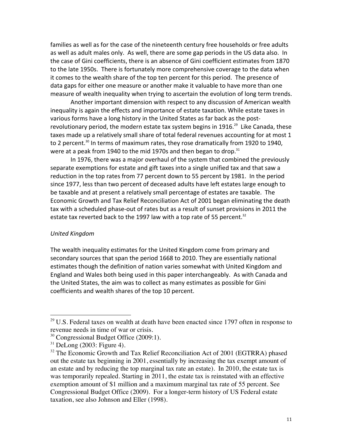families as well as for the case of the nineteenth century free households or free adults as well as adult males only. As well, there are some gap periods in the US data also. In the case of Gini coefficients, there is an absence of Gini coefficient estimates from 1870 to the late 1950s. There is fortunately more comprehensive coverage to the data when it comes to the wealth share of the top ten percent for this period. The presence of data gaps for either one measure or another make it valuable to have more than one measure of wealth inequality when trying to ascertain the evolution of long term trends.

Another important dimension with respect to any discussion of American wealth inequality is again the effects and importance of estate taxation. While estate taxes in various forms have a long history in the United States as far back as the postrevolutionary period, the modern estate tax system begins in 1916.<sup>29</sup> Like Canada, these taxes made up a relatively small share of total federal revenues accounting for at most 1 to 2 percent.<sup>30</sup> In terms of maximum rates, they rose dramatically from 1920 to 1940, were at a peak from 1940 to the mid 1970s and then began to drop.<sup>31</sup>

In 1976, there was a major overhaul of the system that combined the previously separate exemptions for estate and gift taxes into a single unified tax and that saw a reduction in the top rates from 77 percent down to 55 percent by 1981. In the period since 1977, less than two percent of deceased adults have left estates large enough to be taxable and at present a relatively small percentage of estates are taxable. The Economic Growth and Tax Relief Reconciliation Act of 2001 began eliminating the death tax with a scheduled phase-out of rates but as a result of sunset provisions in 2011 the estate tax reverted back to the 1997 law with a top rate of 55 percent.<sup>32</sup>

#### *United Kingdom*

The wealth inequality estimates for the United Kingdom come from primary and secondary sources that span the period 1668 to 2010. They are essentially national estimates though the definition of nation varies somewhat with United Kingdom and England and Wales both being used in this paper interchangeably. As with Canada and the United States, the aim was to collect as many estimates as possible for Gini coefficients and wealth shares of the top 10 percent.

 $29$  U.S. Federal taxes on wealth at death have been enacted since 1797 often in response to revenue needs in time of war or crisis.

<sup>&</sup>lt;sup>30</sup> Congressional Budget Office (2009:1).

 $31$  DeLong (2003: Figure 4).

 $32$  The Economic Growth and Tax Relief Reconciliation Act of 2001 (EGTRRA) phased out the estate tax beginning in 2001, essentially by increasing the tax exempt amount of an estate and by reducing the top marginal tax rate an estate). In 2010, the estate tax is was temporarily repealed. Starting in 2011, the estate tax is reinstated with an effective exemption amount of \$1 million and a maximum marginal tax rate of 55 percent. See Congressional Budget Office (2009). For a longer-term history of US Federal estate taxation, see also Johnson and Eller (1998).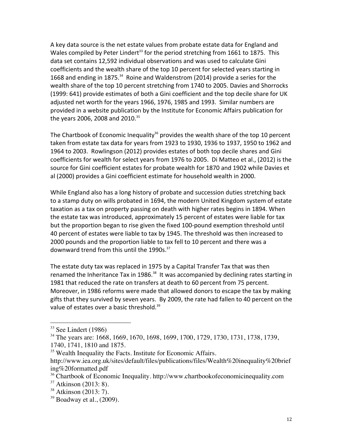A key data source is the net estate values from probate estate data for England and Wales compiled by Peter Lindert<sup>33</sup> for the period stretching from 1661 to 1875. This data set contains 12,592 individual observations and was used to calculate Gini coefficients and the wealth share of the top 10 percent for selected years starting in 1668 and ending in 1875.<sup>34</sup> Roine and Waldenstrom (2014) provide a series for the wealth share of the top 10 percent stretching from 1740 to 2005. Davies and Shorrocks (1999: 641) provide estimates of both a Gini coefficient and the top decile share for UK adjusted net worth for the years 1966, 1976, 1985 and 1993. Similar numbers are provided in a website publication by the Institute for Economic Affairs publication for the years 2006, 2008 and 2010.<sup>35</sup>

The Chartbook of Economic Inequality<sup>36</sup> provides the wealth share of the top 10 percent taken from estate tax data for years from 1923 to 1930, 1936 to 1937, 1950 to 1962 and 1964 to 2003. Rowlingson (2012) provides estates of both top decile shares and Gini coefficients for wealth for select years from 1976 to 2005. Di Matteo et al., (2012) is the source for Gini coefficient estates for probate wealth for 1870 and 1902 while Davies et al (2000) provides a Gini coefficient estimate for household wealth in 2000.

While England also has a long history of probate and succession duties stretching back to a stamp duty on wills probated in 1694, the modern United Kingdom system of estate taxation as a tax on property passing on death with higher rates begins in 1894. When the estate tax was introduced, approximately 15 percent of estates were liable for tax but the proportion began to rise given the fixed 100-pound exemption threshold until 40 percent of estates were liable to tax by 1945. The threshold was then increased to 2000 pounds and the proportion liable to tax fell to 10 percent and there was a downward trend from this until the 1990s.<sup>37</sup>

The estate duty tax was replaced in 1975 by a Capital Transfer Tax that was then renamed the Inheritance Tax in 1986. $38$  It was accompanied by declining rates starting in 1981 that reduced the rate on transfers at death to 60 percent from 75 percent. Moreover, in 1986 reforms were made that allowed donors to escape the tax by making gifts that they survived by seven years. By 2009, the rate had fallen to 40 percent on the value of estates over a basic threshold.<sup>39</sup>

 $33$  See Lindert (1986)

<sup>&</sup>lt;sup>34</sup> The years are: 1668, 1669, 1670, 1698, 1699, 1700, 1729, 1730, 1731, 1738, 1739, 1740, 1741, 1810 and 1875.

<sup>&</sup>lt;sup>35</sup> Wealth Inequality the Facts. Institute for Economic Affairs.

http://www.iea.org.uk/sites/default/files/publications/files/Wealth%20inequality%20brief ing%20formatted.pdf

<sup>&</sup>lt;sup>36</sup> Chartbook of Economic Inequality. http://www.chartbookofeconomicinequality.com

 $37$  Atkinson (2013: 8).

 $38$  Atkinson (2013: 7).

 $39$  Boadway et al.,  $(2009)$ .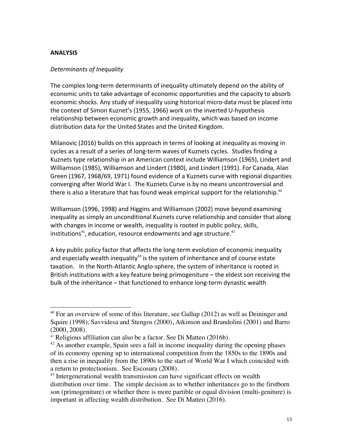## **ANALYSIS**

## *Determinants of Inequality*

 

The complex long-term determinants of inequality ultimately depend on the ability of economic units to take advantage of economic opportunities and the capacity to absorb economic shocks. Any study of inequality using historical micro-data must be placed into the context of Simon Kuznet's (1955, 1966) work on the inverted U-hypothesis relationship between economic growth and inequality, which was based on income distribution data for the United States and the United Kingdom.

Milanovic (2016) builds on this approach in terms of looking at inequality as moving in cycles as a result of a series of long-term waves of Kuznets cycles. Studies finding a Kuznets type relationship in an American context include Williamson (1965), Lindert and Williamson (1985), Williamson and Lindert (1980), and Lindert (1991). For Canada, Alan Green (1967, 1968/69, 1971) found evidence of a Kuznets curve with regional disparities converging after World War I. The Kuznets Curve is by no means uncontroversial and there is also a literature that has found weak empirical support for the relationship.<sup>40</sup>

Williamson (1996, 1998) and Higgins and Williamson (2002) move beyond examining inequality as simply an unconditional Kuznets curve relationship and consider that along with changes in income or wealth, inequality is rooted in public policy, skills, institutions<sup>41</sup>, education, resource endowments and age structure.<sup>42</sup>

A key public policy factor that affects the long-term evolution of economic inequality and especially wealth inequality<sup>43</sup> is the system of inheritance and of course estate taxation. In the North-Atlantic Anglo-sphere, the system of inheritance is rooted in British institutions with a key feature being primogeniture  $-$  the eldest son receiving the bulk of the inheritance – that functioned to enhance long-term dynastic wealth

 $40$  For an overview of some of this literature, see Gallup (2012) as well as Deininger and Squire (1998), Savvidesa and Stengos (2000), Atkinson and Brandolini (2001) and Barro (2000, 2008).

<sup>41</sup> Religious affiliation can also be a factor. See Di Matteo (2016b).

 $42$  As another example, Spain sees a fall in income inequality during the opening phases of its economy opening up to international competition from the 1850s to the 1890s and then a rise in inequality from the 1890s to the start of World War I which coincided with a return to protectionism. See Escosura (2008).

<sup>&</sup>lt;sup>43</sup> Intergenerational wealth transmission can have significant effects on wealth distribution over time. The simple decision as to whether inheritances go to the firstborn son (primogeniture) or whether there is more partible or equal division (multi-geniture) is important in affecting wealth distribution. See Di Matteo (2016).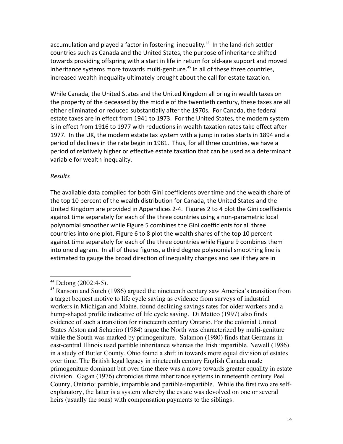accumulation and played a factor in fostering inequality.<sup>44</sup> In the land-rich settler countries such as Canada and the United States, the purpose of inheritance shifted towards providing offspring with a start in life in return for old-age support and moved inheritance systems more towards multi-geniture.<sup>45</sup> In all of these three countries, increased wealth inequality ultimately brought about the call for estate taxation.

While Canada, the United States and the United Kingdom all bring in wealth taxes on the property of the deceased by the middle of the twentieth century, these taxes are all either eliminated or reduced substantially after the 1970s. For Canada, the federal estate taxes are in effect from 1941 to 1973. For the United States, the modern system is in effect from 1916 to 1977 with reductions in wealth taxation rates take effect after 1977. In the UK, the modern estate tax system with a jump in rates starts in 1894 and a period of declines in the rate begin in 1981. Thus, for all three countries, we have a period of relatively higher or effective estate taxation that can be used as a determinant variable for wealth inequality.

## *Results*

The available data compiled for both Gini coefficients over time and the wealth share of the top 10 percent of the wealth distribution for Canada, the United States and the United Kingdom are provided in Appendices 2-4. Figures 2 to 4 plot the Gini coefficients against time separately for each of the three countries using a non-parametric local polynomial smoother while Figure 5 combines the Gini coefficients for all three countries into one plot. Figure 6 to 8 plot the wealth shares of the top 10 percent against time separately for each of the three countries while Figure 9 combines them into one diagram. In all of these figures, a third degree polynomial smoothing line is estimated to gauge the broad direction of inequality changes and see if they are in

 $44$  Delong (2002:4-5).

<sup>&</sup>lt;sup>45</sup> Ransom and Sutch (1986) argued the nineteenth century saw America's transition from a target bequest motive to life cycle saving as evidence from surveys of industrial workers in Michigan and Maine, found declining savings rates for older workers and a hump-shaped profile indicative of life cycle saving. Di Matteo (1997) also finds evidence of such a transition for nineteenth century Ontario. For the colonial United States Alston and Schapiro (1984) argue the North was characterized by multi-geniture while the South was marked by primogeniture. Salamon (1980) finds that Germans in east-central Illinois used partible inheritance whereas the Irish impartible. Newell (1986) in a study of Butler County, Ohio found a shift in towards more equal division of estates over time. The British legal legacy in nineteenth century English Canada made primogeniture dominant but over time there was a move towards greater equality in estate division. Gagan (1976) chronicles three inheritance systems in nineteenth century Peel County, Ontario: partible, impartible and partible-impartible. While the first two are selfexplanatory, the latter is a system whereby the estate was devolved on one or several heirs (usually the sons) with compensation payments to the siblings.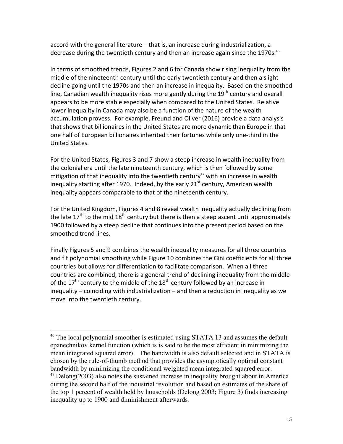accord with the general literature – that is, an increase during industrialization, a decrease during the twentieth century and then an increase again since the 1970s.<sup>46</sup>

In terms of smoothed trends, Figures 2 and 6 for Canada show rising inequality from the middle of the nineteenth century until the early twentieth century and then a slight decline going until the 1970s and then an increase in inequality. Based on the smoothed line, Canadian wealth inequality rises more gently during the  $19<sup>th</sup>$  century and overall appears to be more stable especially when compared to the United States. Relative lower inequality in Canada may also be a function of the nature of the wealth accumulation provess. For example, Freund and Oliver (2016) provide a data analysis that shows that billionaires in the United States are more dynamic than Europe in that one half of European billionaires inherited their fortunes while only one-third in the United States. 

For the United States, Figures 3 and 7 show a steep increase in wealth inequality from the colonial era until the late nineteenth century, which is then followed by some mitigation of that inequality into the twentieth century<sup>47</sup> with an increase in wealth inequality starting after 1970. Indeed, by the early  $21<sup>st</sup>$  century, American wealth inequality appears comparable to that of the nineteenth century.

For the United Kingdom, Figures 4 and 8 reveal wealth inequality actually declining from the late  $17<sup>th</sup>$  to the mid  $18<sup>th</sup>$  century but there is then a steep ascent until approximately 1900 followed by a steep decline that continues into the present period based on the smoothed trend lines.

Finally Figures 5 and 9 combines the wealth inequality measures for all three countries and fit polynomial smoothing while Figure 10 combines the Gini coefficients for all three countries but allows for differentiation to facilitate comparison. When all three countries are combined, there is a general trend of declining inequality from the middle of the  $17<sup>th</sup>$  century to the middle of the  $18<sup>th</sup>$  century followed by an increase in inequality – coinciding with industrialization – and then a reduction in inequality as we move into the twentieth century.

<sup>&</sup>lt;sup>46</sup> The local polynomial smoother is estimated using STATA 13 and assumes the default epanechnikov kernel function (which is is said to be the most efficient in minimizing the mean integrated squared error). The bandwidth is also default selected and in STATA is chosen by the rule-of-thumb method that provides the asymptotically optimal constant bandwidth by minimizing the conditional weighted mean integrated squared error.  $47$  Delong(2003) also notes the sustained increase in inequality brought about in America during the second half of the industrial revolution and based on estimates of the share of the top 1 percent of wealth held by households (Delong 2003; Figure 3) finds increasing inequality up to 1900 and diminishment afterwards.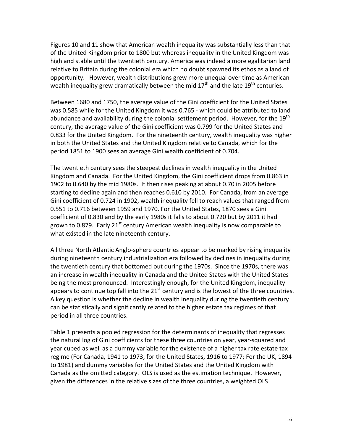Figures 10 and 11 show that American wealth inequality was substantially less than that of the United Kingdom prior to 1800 but whereas inequality in the United Kingdom was high and stable until the twentieth century. America was indeed a more egalitarian land relative to Britain during the colonial era which no doubt spawned its ethos as a land of opportunity. However, wealth distributions grew more unequal over time as American wealth inequality grew dramatically between the mid  $17<sup>th</sup>$  and the late  $19<sup>th</sup>$  centuries.

Between 1680 and 1750, the average value of the Gini coefficient for the United States was 0.585 while for the United Kingdom it was 0.765 - which could be attributed to land abundance and availability during the colonial settlement period. However, for the 19<sup>th</sup> century, the average value of the Gini coefficient was 0.799 for the United States and 0.833 for the United Kingdom. For the nineteenth century, wealth inequality was higher in both the United States and the United Kingdom relative to Canada, which for the period 1851 to 1900 sees an average Gini wealth coefficient of 0.704.

The twentieth century sees the steepest declines in wealth inequality in the United Kingdom and Canada. For the United Kingdom, the Gini coefficient drops from 0.863 in 1902 to 0.640 by the mid 1980s. It then rises peaking at about 0.70 in 2005 before starting to decline again and then reaches  $0.610$  by 2010. For Canada, from an average Gini coefficient of 0.724 in 1902, wealth inequality fell to reach values that ranged from 0.551 to 0.716 between 1959 and 1970. For the United States, 1870 sees a Gini coefficient of 0.830 and by the early 1980s it falls to about 0.720 but by 2011 it had grown to 0.879. Early  $21^{st}$  century American wealth inequality is now comparable to what existed in the late nineteenth century.

All three North Atlantic Anglo-sphere countries appear to be marked by rising inequality during nineteenth century industrialization era followed by declines in inequality during the twentieth century that bottomed out during the 1970s. Since the 1970s, there was an increase in wealth inequality in Canada and the United States with the United States being the most pronounced. Interestingly enough, for the United Kingdom, inequality appears to continue top fall into the  $21<sup>st</sup>$  century and is the lowest of the three countries. A key question is whether the decline in wealth inequality during the twentieth century can be statistically and significantly related to the higher estate tax regimes of that period in all three countries.

Table 1 presents a pooled regression for the determinants of inequality that regresses the natural log of Gini coefficients for these three countries on year, year-squared and year cubed as well as a dummy variable for the existence of a higher tax rate estate tax regime (For Canada, 1941 to 1973; for the United States, 1916 to 1977; For the UK, 1894 to 1981) and dummy variables for the United States and the United Kingdom with Canada as the omitted category. OLS is used as the estimation technique. However, given the differences in the relative sizes of the three countries, a weighted OLS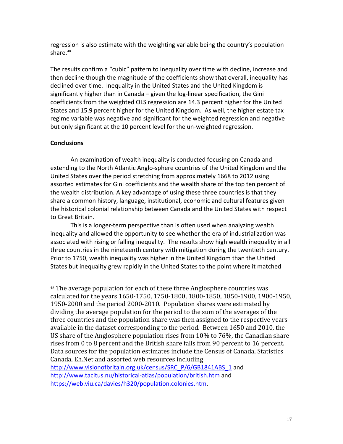regression is also estimate with the weighting variable being the country's population share. $48$ 

The results confirm a "cubic" pattern to inequality over time with decline, increase and then decline though the magnitude of the coefficients show that overall, inequality has declined over time. Inequality in the United States and the United Kingdom is significantly higher than in Canada – given the  $log$ -linear specification, the Gini coefficients from the weighted OLS regression are 14.3 percent higher for the United States and 15.9 percent higher for the United Kingdom. As well, the higher estate tax regime variable was negative and significant for the weighted regression and negative but only significant at the 10 percent level for the un-weighted regression.

## **Conclusions**

 

An examination of wealth inequality is conducted focusing on Canada and extending to the North Atlantic Anglo-sphere countries of the United Kingdom and the United States over the period stretching from approximately 1668 to 2012 using assorted estimates for Gini coefficients and the wealth share of the top ten percent of the wealth distribution. A key advantage of using these three countries is that they share a common history, language, institutional, economic and cultural features given the historical colonial relationship between Canada and the United States with respect to Great Britain.

This is a longer-term perspective than is often used when analyzing wealth inequality and allowed the opportunity to see whether the era of industrialization was associated with rising or falling inequality. The results show high wealth inequality in all three countries in the nineteenth century with mitigation during the twentieth century. Prior to 1750, wealth inequality was higher in the United Kingdom than the United States but inequality grew rapidly in the United States to the point where it matched

http://www.visionofbritain.org.uk/census/SRC\_P/6/GB1841ABS\_1 and http://www.tacitus.nu/historical-atlas/population/british.htm and https://web.viu.ca/davies/h320/population.colonies.htm. 

<sup>&</sup>lt;sup>48</sup> The average population for each of these three Anglosphere countries was calculated for the years 1650-1750, 1750-1800, 1800-1850, 1850-1900, 1900-1950, 1950-2000 and the period 2000-2010. Population shares were estimated by dividing the average population for the period to the sum of the averages of the three countries and the population share was then assigned to the respective years available in the dataset corresponding to the period. Between 1650 and 2010, the US share of the Anglosphere population rises from  $10\%$  to  $76\%$ , the Canadian share rises from  $0$  to  $8$  percent and the British share falls from  $90$  percent to  $16$  percent. Data sources for the population estimates include the Census of Canada, Statistics Canada, Eh. Net and assorted web resources including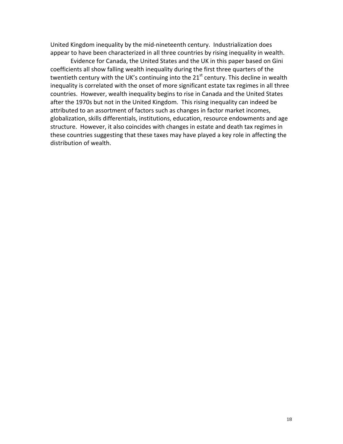United Kingdom inequality by the mid-nineteenth century. Industrialization does appear to have been characterized in all three countries by rising inequality in wealth.

Evidence for Canada, the United States and the UK in this paper based on Gini coefficients all show falling wealth inequality during the first three quarters of the twentieth century with the UK's continuing into the  $21^{st}$  century. This decline in wealth inequality is correlated with the onset of more significant estate tax regimes in all three countries. However, wealth inequality begins to rise in Canada and the United States after the 1970s but not in the United Kingdom. This rising inequality can indeed be attributed to an assortment of factors such as changes in factor market incomes, globalization, skills differentials, institutions, education, resource endowments and age structure. However, it also coincides with changes in estate and death tax regimes in these countries suggesting that these taxes may have played a key role in affecting the distribution of wealth.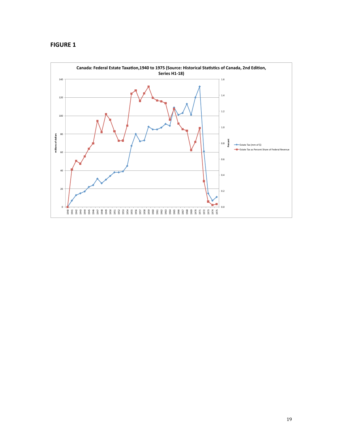## **FIGURE 1**

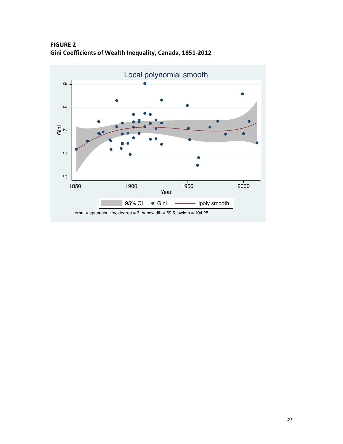**FIGURE 2** Gini Coefficients of Wealth Inequality, Canada, 1851-2012



 $kernel = epanechnikov, degree = 3, bandwidth = 69.5, width = 104.25$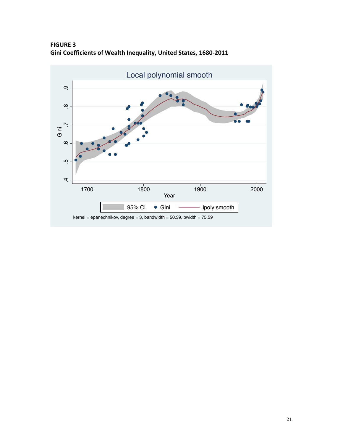**FIGURE 3 Gini Coefficients of Wealth Inequality, United States, 1680-2011** 

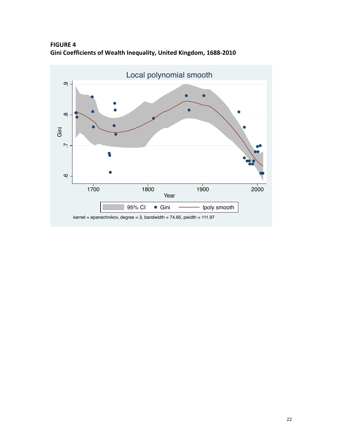**FIGURE 4** Gini Coefficients of Wealth Inequality, United Kingdom, 1688-2010

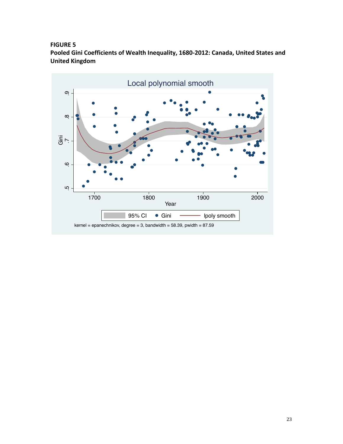## **FIGURE 5**

Pooled Gini Coefficients of Wealth Inequality, 1680-2012: Canada, United States and **United Kingdom**

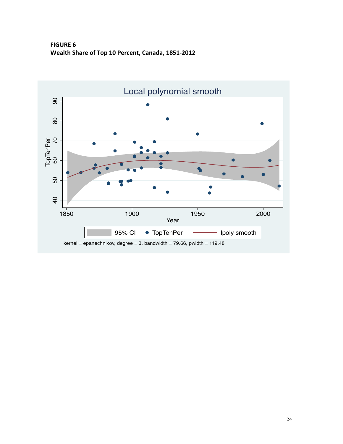**FIGURE 6** Wealth Share of Top 10 Percent, Canada, 1851-2012

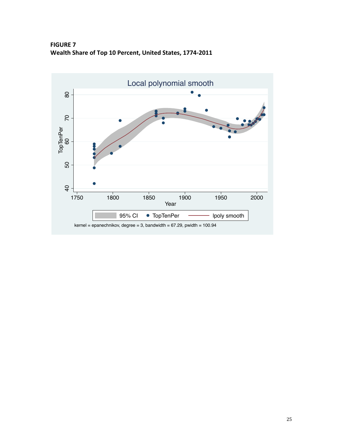**FIGURE 7** Wealth Share of Top 10 Percent, United States, 1774-2011

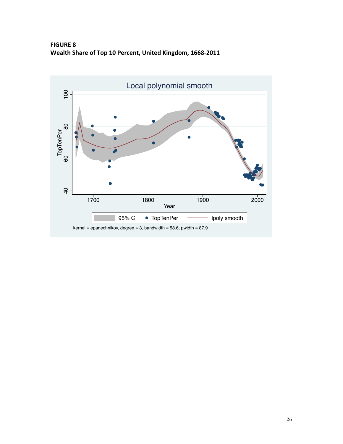**FIGURE 8** Wealth Share of Top 10 Percent, United Kingdom, 1668-2011

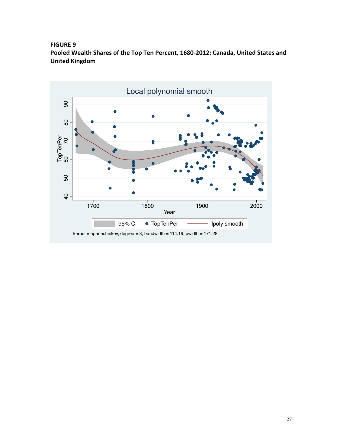## **FIGURE 9**

Pooled Wealth Shares of the Top Ten Percent, 1680-2012: Canada, United States and **United Kingdom**

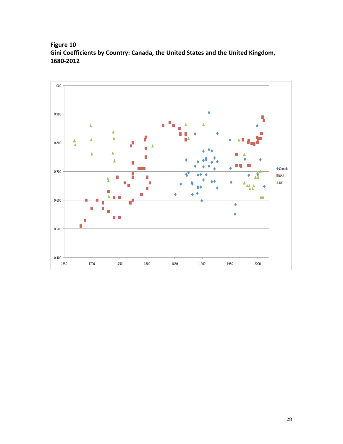# **Figure 10** Gini Coefficients by Country: Canada, the United States and the United Kingdom, **1680-2012**

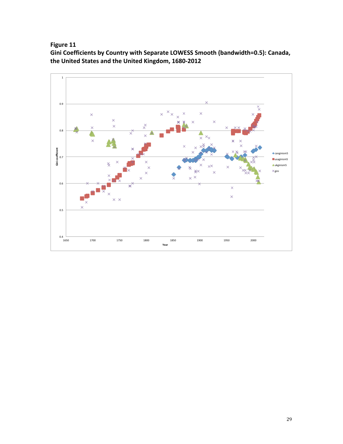**Figure 11** 

Gini Coefficients by Country with Separate LOWESS Smooth (bandwidth=0.5): Canada, the United States and the United Kingdom, 1680-2012

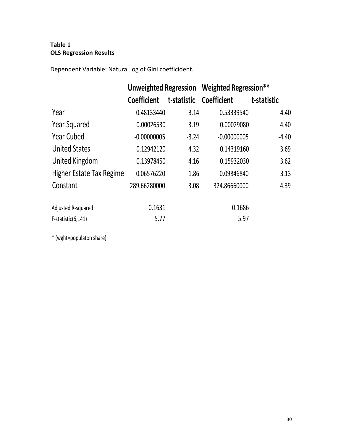# **Table 1 OLS Regression Results**

Dependent Variable: Natural log of Gini coefficident.

|                          | Unweighted Regression Weighted Regression** |         |                         |             |  |  |
|--------------------------|---------------------------------------------|---------|-------------------------|-------------|--|--|
|                          | <b>Coefficient</b>                          |         | t-statistic Coefficient | t-statistic |  |  |
| Year                     | $-0.48133440$                               | $-3.14$ | $-0.53339540$           | $-4.40$     |  |  |
| <b>Year Squared</b>      | 0.00026530                                  | 3.19    | 0.00029080              | 4.40        |  |  |
| <b>Year Cubed</b>        | $-0.00000005$                               | $-3.24$ | $-0.00000005$           | $-4.40$     |  |  |
| <b>United States</b>     | 0.12942120                                  | 4.32    | 0.14319160              | 3.69        |  |  |
| United Kingdom           | 0.13978450                                  | 4.16    | 0.15932030              | 3.62        |  |  |
| Higher Estate Tax Regime | $-0.06576220$                               | $-1.86$ | $-0.09846840$           | $-3.13$     |  |  |
| Constant                 | 289.66280000                                | 3.08    | 324.86660000            | 4.39        |  |  |
| Adjusted R-squared       | 0.1631                                      |         | 0.1686                  |             |  |  |
| F-statistic(6,141)       | 5.77                                        |         | 5.97                    |             |  |  |

\*.(wght=populaton.share)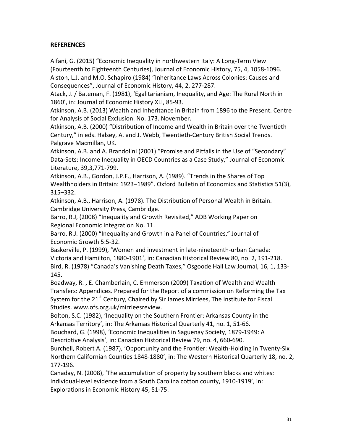## **REFERENCES**

Alfani, G. (2015) "Economic Inequality in northwestern Italy: A Long-Term View (Fourteenth to Eighteenth Centuries), Journal of Economic History, 75, 4, 1058-1096. Alston, L.J. and M.O. Schapiro (1984) "Inheritance Laws Across Colonies: Causes and Consequences", Journal of Economic History, 44, 2, 277-287.

Atack, J. / Bateman, F. (1981), 'Egalitarianism, Inequality, and Age: The Rural North in 1860', in: Journal of Economic History XLI, 85-93.

Atkinson, A.B. (2013) Wealth and Inheritance in Britain from 1896 to the Present. Centre for Analysis of Social Exclusion. No. 173. November.

Atkinson, A.B. (2000) "Distribution of Income and Wealth in Britain over the Twentieth Century," in eds. Halsey, A. and J. Webb, Twentieth-Century British Social Trends. Palgrave Macmillan, UK.

Atkinson, A.B. and A. Brandolini (2001) "Promise and Pitfalls in the Use of "Secondary" Data-Sets: Income Inequality in OECD Countries as a Case Study," Journal of Economic Literature, 39,3,771-799.

Atkinson, A.B., Gordon, J.P.F., Harrison, A. (1989). "Trends in the Shares of Top Wealthholders in Britain: 1923–1989". Oxford Bulletin of Economics and Statistics 51(3), 315–332. 

Atkinson, A.B., Harrison, A. (1978). The Distribution of Personal Wealth in Britain. Cambridge University Press, Cambridge.

Barro, R.J, (2008) "Inequality and Growth Revisited," ADB Working Paper on Regional Economic Integration No. 11.

Barro, R.J. (2000) "Inequality and Growth in a Panel of Countries," Journal of Economic Growth 5:5-32.

Baskerville, P. (1999), 'Women and investment in late-nineteenth-urban Canada: Victoria and Hamilton, 1880-1901', in: Canadian Historical Review 80, no. 2, 191-218. Bird, R. (1978) "Canada's Vanishing Death Taxes," Osgoode Hall Law Journal, 16, 1, 133-145.

Boadway, R., E. Chamberlain, C. Emmerson (2009) Taxation of Wealth and Wealth Transfers: Appendices. Prepared for the Report of a commission on Reforming the Tax System for the  $21^{st}$  Century, Chaired by Sir James Mirrlees, The Institute for Fiscal Studies. www.ofs.org.uk/mirrleesreview.

Bolton, S.C. (1982), 'Inequality on the Southern Frontier: Arkansas County in the Arkansas Territory', in: The Arkansas Historical Quarterly 41, no. 1, 51-66.

Bouchard, G. (1998), 'Economic Inequalities in Saguenay Society, 1879-1949: A Descriptive Analysis', in: Canadian Historical Review 79, no. 4, 660-690.

Burchell, Robert A. (1987), 'Opportunity and the Frontier: Wealth-Holding in Twenty-Six Northern Californian Counties 1848-1880', in: The Western Historical Quarterly 18, no. 2, 177-196.

Canaday, N. (2008), 'The accumulation of property by southern blacks and whites: Individual-level evidence from a South Carolina cotton county, 1910-1919', in: Explorations in Economic History 45, 51-75.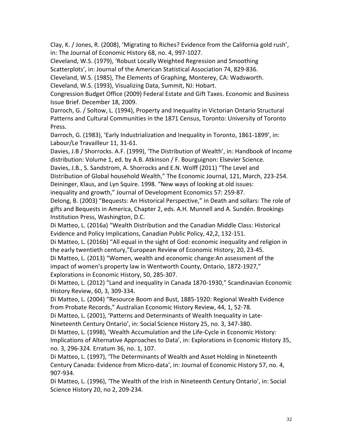Clay, K. / Jones, R. (2008), 'Migrating to Riches? Evidence from the California gold rush', in: The Journal of Economic History 68, no. 4, 997-1027.

Cleveland, W.S. (1979), 'Robust Locally Weighted Regression and Smoothing

Scatterplots', in: Journal of the American Statistical Association 74, 829-836.

Cleveland, W.S. (1985), The Elements of Graphing, Monterey, CA: Wadsworth.

Cleveland, W.S. (1993), Visualizing Data, Summit, NJ: Hobart.

Congression Budget Office (2009) Federal Estate and Gift Taxes. Economic and Business Issue Brief. December 18, 2009.

Darroch, G. / Soltow, L. (1994), Property and Inequality in Victorian Ontario Structural Patterns and Cultural Communities in the 1871 Census, Toronto: University of Toronto Press.

Darroch, G. (1983), 'Early Industrialization and Inequality in Toronto, 1861-1899', in: Labour/Le Travailleur 11, 31-61.

Davies, J.B / Shorrocks. A.F. (1999), 'The Distribution of Wealth', in: Handbook of Income distribution: Volume 1, ed. by A.B. Atkinson  $/$  F. Bourguignon: Elsevier Science.

Davies, J.B., S. Sandstrom, A. Shorrocks and E.N. Wolff (2011) "The Level and

Distribution of Global household Wealth," The Economic Journal, 121, March, 223-254.

Deininger, Klaus, and Lyn Squire. 1998. "New ways of looking at old issues: inequality and growth," Journal of Development Economics 57: 259-87.

Delong, B. (2003) "Bequests: An Historical Perspective," in Death and sollars: The role of gifts and Bequests in America, Chapter 2, eds. A.H. Munnell and A. Sundén. Brookings Institution Press, Washington, D.C.

Di Matteo, L. (2016a) "Wealth Distribution and the Canadian Middle Class: Historical Evidence and Policy Implications, Canadian Public Policy, 42,2, 132-151.

Di Matteo, L. (2016b) "All equal in the sight of God: economic inequality and religion in the early twentieth century,"European Review of Economic History, 20, 23-45.

Di Matteo, L. (2013) "Women, wealth and economic change:An assessment of the impact of women's property law in Wentworth County, Ontario, 1872-1927," Explorations in Economic History, 50, 285-307.

Di Matteo, L. (2012) "Land and inequality in Canada 1870-1930," Scandinavian Economic History Review, 60, 3, 309-334.

Di Matteo, L. (2004) "Resource Boom and Bust, 1885-1920: Regional Wealth Evidence from Probate Records," Australian Economic History Review, 44, 1, 52-78.

Di Matteo, L. (2001), 'Patterns and Determinants of Wealth Inequality in Late-Nineteenth Century Ontario', in: Social Science History 25, no. 3, 347-380.

Di Matteo, L. (1998), 'Wealth Accumulation and the Life-Cycle in Economic History: Implications of Alternative Approaches to Data', in: Explorations in Economic History 35, no. 3, 296-324. Erratum 36, no. 1, 107.

Di Matteo, L. (1997), 'The Determinants of Wealth and Asset Holding in Nineteenth Century Canada: Evidence from Micro-data', in: Journal of Economic History 57, no. 4, 907-934.

Di Matteo, L. (1996), 'The Wealth of the Irish in Nineteenth Century Ontario', in: Social Science History 20, no 2, 209-234.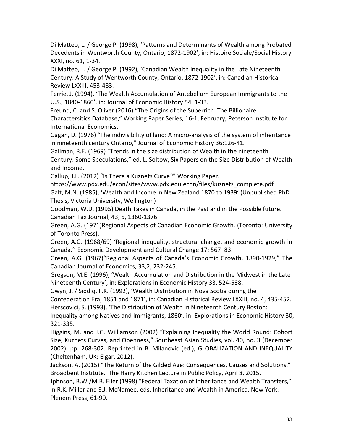Di Matteo, L. / George P. (1998), 'Patterns and Determinants of Wealth among Probated Decedents in Wentworth County, Ontario, 1872-1902', in: Histoire Sociale/Social History XXXI, no. 61, 1-34.

Di Matteo, L. / George P. (1992), 'Canadian Wealth Inequality in the Late Nineteenth Century: A Study of Wentworth County, Ontario, 1872-1902', in: Canadian Historical Review LXXIII, 453-483.

Ferrie, J. (1994), 'The Wealth Accumulation of Antebellum European Immigrants to the U.S., 1840-1860', in: Journal of Economic History 54, 1-33.

Freund, C. and S. Oliver (2016) "The Origins of the Superrich: The Billionaire Charactersitics Database," Working Paper Series, 16-1, February, Peterson Institute for International Economics.

Gagan, D. (1976) "The indivisibility of land: A micro-analysis of the system of inheritance in nineteenth century Ontario," Journal of Economic History 36:126-41.

Gallman, R.E. (1969) "Trends in the size distribution of Wealth in the nineteenth Century: Some Speculations," ed. L. Soltow, Six Papers on the Size Distribution of Wealth and Income.

Gallup, J.L. (2012) "Is There a Kuznets Curve?" Working Paper.

https://www.pdx.edu/econ/sites/www.pdx.edu.econ/files/kuznets\_complete.pdf Galt, M.N. (1985), 'Wealth and Income in New Zealand 1870 to 1939' (Unpublished PhD Thesis, Victoria University, Wellington)

Goodman, W.D. (1995) Death Taxes in Canada, in the Past and in the Possible future. Canadian Tax Journal, 43, 5, 1360-1376.

Green, A.G. (1971)Regional Aspects of Canadian Economic Growth. (Toronto: University of Toronto Press).

Green, A.G. (1968/69) 'Regional inequality, structural change, and economic growth in Canada." Economic Development and Cultural Change 17: 567-83.

Green, A.G. (1967) "Regional Aspects of Canada's Economic Growth, 1890-1929," The Canadian Journal of Economics, 33,2, 232-245.

Gregson, M.E. (1996), 'Wealth Accumulation and Distribution in the Midwest in the Late Nineteenth Century', in: Explorations in Economic History 33, 524-538.

Gwyn, J. / Siddiq, F.K. (1992), 'Wealth Distribution in Nova Scotia during the

Confederation Era, 1851 and 1871', in: Canadian Historical Review LXXIII, no. 4, 435-452. Herscovici, S. (1993), 'The Distribution of Wealth in Nineteenth Century Boston:

Inequality among Natives and Immigrants, 1860', in: Explorations in Economic History 30, 321-335.

Higgins, M. and J.G. Williamson (2002) "Explaining Inequality the World Round: Cohort Size, Kuznets Curves, and Openness," Southeast Asian Studies, vol. 40, no. 3 (December 2002): pp. 268-302. Reprinted in B. Milanovic (ed.), GLOBALIZATION AND INEQUALITY (Cheltenham, UK: Elgar, 2012).

Jackson, A. (2015) "The Return of the Gilded Age: Consequences, Causes and Solutions," Broadbent Institute. The Harry Kitchen Lecture in Public Policy, April 8, 2015.

Jphnson, B.W./M.B. Eller (1998) "Federal Taxation of Inheritance and Wealth Transfers," in R.K. Miller and S.J. McNamee, eds. Inheritance and Wealth in America. New York: Plenem Press, 61-90.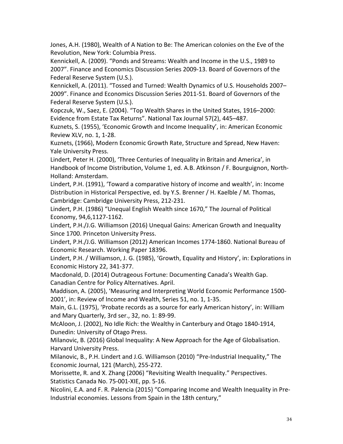Jones, A.H. (1980), Wealth of A Nation to Be: The American colonies on the Eve of the Revolution, New York: Columbia Press.

Kennickell, A. (2009). "Ponds and Streams: Wealth and Income in the U.S., 1989 to 2007". Finance and Economics Discussion Series 2009-13. Board of Governors of the Federal Reserve System (U.S.).

Kennickell, A. (2011). "Tossed and Turned: Wealth Dynamics of U.S. Households 2007– 2009". Finance and Economics Discussion Series 2011-51. Board of Governors of the Federal Reserve System (U.S.).

Kopczuk, W., Saez, E. (2004). "Top Wealth Shares in the United States, 1916–2000: Evidence from Estate Tax Returns". National Tax Journal 57(2), 445-487.

Kuznets, S. (1955), 'Economic Growth and Income Inequality', in: American Economic Review XLV, no. 1, 1-28.

Kuznets, (1966), Modern Economic Growth Rate, Structure and Spread, New Haven: Yale University Press.

Lindert, Peter H. (2000), 'Three Centuries of Inequality in Britain and America', in Handbook of Income Distribution, Volume 1, ed. A.B. Atkinson / F. Bourguignon, North-Holland: Amsterdam.

Lindert, P.H. (1991), 'Toward a comparative history of income and wealth', in: Income Distribution in Historical Perspective, ed. by Y.S. Brenner / H. Kaelble / M. Thomas, Cambridge: Cambridge University Press, 212-231.

Lindert, P.H. (1986) "Unequal English Wealth since 1670," The Journal of Political Economy, 94,6,1127-1162.

Lindert, P.H./J.G. Williamson (2016) Unequal Gains: American Growth and Inequality Since 1700. Princeton University Press.

Lindert, P.H./J.G. Williamson (2012) American Incomes 1774-1860. National Bureau of Economic Research. Working Paper 18396.

Lindert, P.H. / Williamson, J. G. (1985), 'Growth, Equality and History', in: Explorations in Economic History 22, 341-377.

Macdonald, D. (2014) Outrageous Fortune: Documenting Canada's Wealth Gap. Canadian Centre for Policy Alternatives. April.

Maddison, A. (2005), 'Measuring and Interpreting World Economic Performance 1500-2001', in: Review of Income and Wealth, Series 51, no. 1, 1-35.

Main, G.L. (1975), 'Probate records as a source for early American history', in: William and Mary Quarterly, 3rd ser., 32, no. 1: 89-99.

McAloon, J. (2002), No Idle Rich: the Wealthy in Canterbury and Otago 1840-1914, Dunedin: University of Otago Press.

Milanovic, B. (2016) Global Inequality: A New Approach for the Age of Globalisation. Harvard University Press.

Milanovic, B., P.H. Lindert and J.G. Williamson (2010) "Pre-Industrial Inequality," The Economic Journal, 121 (March), 255-272.

Morissette, R. and X. Zhang (2006) "Revisiting Wealth Inequality." Perspectives. Statistics Canada No. 75-001-XIE, pp. 5-16.

Nicolini, E.A. and F. R. Palencia (2015) "Comparing Income and Wealth Inequality in Pre-Industrial economies. Lessons from Spain in the 18th century,"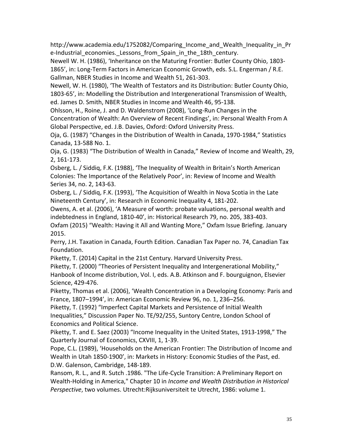http://www.academia.edu/1752082/Comparing Income and Wealth Inequality in Pr e-Industrial economies. Lessons from Spain in the 18th century.

Newell W. H. (1986), 'Inheritance on the Maturing Frontier: Butler County Ohio, 1803-1865', in: Long-Term Factors in American Economic Growth, eds. S.L. Engerman / R.E. Gallman, NBER Studies in Income and Wealth 51, 261-303.

Newell, W. H. (1980), 'The Wealth of Testators and its Distribution: Butler County Ohio, 1803-65', in: Modelling the Distribution and Intergenerational Transmission of Wealth, ed. James D. Smith, NBER Studies in Income and Wealth 46, 95-138.

Ohlsson, H., Roine, J. and D. Waldenstrom (2008), 'Long-Run Changes in the Concentration of Wealth: An Overview of Recent Findings', in: Personal Wealth From A Global Perspective, ed. J.B. Davies, Oxford: Oxford University Press.

Oja, G. (1987) "Changes in the Distribution of Wealth in Canada, 1970-1984," Statistics Canada, 13-588 No. 1.

Oja, G. (1983) "The Distribution of Wealth in Canada," Review of Income and Wealth, 29, 2, 161-173.

Osberg, L. / Siddiq, F.K. (1988), 'The Inequality of Wealth in Britain's North American Colonies: The Importance of the Relatively Poor', in: Review of Income and Wealth Series 34, no. 2, 143-63.

Osberg, L. / Siddiq, F.K. (1993), 'The Acquisition of Wealth in Nova Scotia in the Late Nineteenth Century', in: Research in Economic Inequality 4, 181-202.

Owens, A. et al. (2006), 'A Measure of worth: probate valuations, personal wealth and indebtedness in England, 1810-40', in: Historical Research 79, no. 205, 383-403.

Oxfam (2015) "Wealth: Having it All and Wanting More," Oxfam Issue Briefing. January 2015. 

Perry, J.H. Taxation in Canada, Fourth Edition. Canadian Tax Paper no. 74, Canadian Tax Foundation.

Piketty, T. (2014) Capital in the 21st Century. Harvard University Press.

Piketty, T. (2000) "Theories of Persistent Inequality and Intergenerational Mobility," Hanbook of Income distribution, Vol. I, eds. A.B. Atkinson and F. bourguignon, Elsevier Science, 429-476.

Piketty, Thomas et al. (2006), 'Wealth Concentration in a Developing Economy: Paris and France, 1807–1994', in: American Economic Review 96, no. 1, 236–256.

Piketty, T. (1992) "Imperfect Capital Markets and Persistence of Initial Wealth Inequalities," Discussion Paper No. TE/92/255, Suntory Centre, London School of Economics and Political Science.

Piketty, T. and E. Saez (2003) "Income Inequality in the United States, 1913-1998," The Quarterly Journal of Economics, CXVIII, 1, 1-39.

Pope, C.L. (1989), 'Households on the American Frontier: The Distribution of Income and Wealth in Utah 1850-1900', in: Markets in History: Economic Studies of the Past, ed. D.W. Galenson, Cambridge, 148-189.

Ransom, R. L., and R. Sutch .1986. "The Life-Cycle Transition: A Preliminary Report on Wealth-Holding in America," Chapter 10 in *Income and Wealth Distribution in Historical* Perspective, two volumes. Utrecht:Rijksuniversiteit te Utrecht, 1986: volume 1.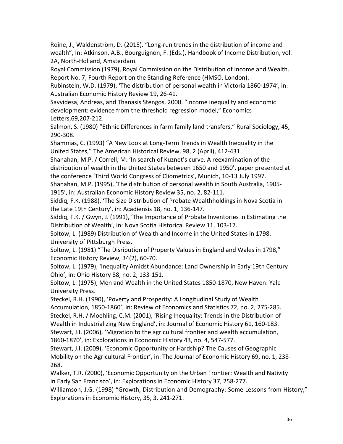Roine, J., Waldenström, D. (2015). "Long-run trends in the distribution of income and wealth", In: Atkinson, A.B., Bourguignon, F. (Eds.), Handbook of Income Distribution, vol. 2A, North-Holland, Amsterdam.

Royal Commission (1979), Royal Commission on the Distribution of Income and Wealth. Report No. 7, Fourth Report on the Standing Reference (HMSO, London).

Rubinstein, W.D. (1979), 'The distribution of personal wealth in Victoria 1860-1974', in: Australian Economic History Review 19, 26-41.

Savvidesa, Andreas, and Thanasis Stengos. 2000. "Income inequality and economic development: evidence from the threshold regression model," Economics Letters,69,207-212.

Salmon, S. (1980) "Ethnic Differences in farm family land transfers," Rural Sociology, 45, 290-308.

Shammas, C. (1993) "A New Look at Long-Term Trends in Wealth Inequality in the United States," The American Historical Review, 98, 2 (April), 412-431.

Shanahan, M.P. / Correll, M. 'In search of Kuznet's curve. A reexamination of the distribution of wealth in the United States between 1650 and 1950', paper presented at the conference 'Third World Congress of Cliometrics', Munich, 10-13 July 1997.

Shanahan, M.P. (1995), 'The distribution of personal wealth in South Australia, 1905-1915', in: Australian Economic History Review 35, no. 2, 82-111.

Siddig, F.K. (1988), 'The Size Distribution of Probate Wealthholdings in Nova Scotia in the Late 19th Century', in: Acadiensis 18, no. 1, 136-147.

Siddig, F.K. / Gwyn, J. (1991), 'The Importance of Probate Inventories in Estimating the Distribution of Wealth', in: Nova Scotia Historical Review 11, 103-17.

Soltow, L. (1989) Distribution of Wealth and Income in the United States in 1798. University of Pittsburgh Press.

Soltow, L. (1981) "The Disribution of Property Values in England and Wales in 1798," Economic History Review, 34(2), 60-70.

Soltow, L. (1979), 'Inequality Amidst Abundance: Land Ownership in Early 19th Century Ohio', in: Ohio History 88, no. 2, 133-151.

Soltow, L. (1975), Men and Wealth in the United States 1850-1870, New Haven: Yale University Press.

Steckel, R.H. (1990), 'Poverty and Prosperity: A Longitudinal Study of Wealth Accumulation, 1850-1860', in: Review of Economics and Statistics 72, no. 2, 275-285. Steckel, R.H. / Moehling, C.M. (2001), 'Rising Inequality: Trends in the Distribution of Wealth in Industrializing New England', in: Journal of Economic History 61, 160-183. Stewart, J.I. (2006), 'Migration to the agricultural frontier and wealth accumulation, 1860-1870', in: Explorations in Economic History 43, no. 4, 547-577.

Stewart, J.I. (2009), 'Economic Opportunity or Hardship? The Causes of Geographic Mobility on the Agricultural Frontier', in: The Journal of Economic History 69, no. 1, 238-268.

Walker, T.R. (2000), 'Economic Opportunity on the Urban Frontier: Wealth and Nativity in Early San Francisco', in: Explorations in Economic History 37, 258-277.

Williamson, J.G. (1998) "Growth, Distribution and Demography: Some Lessons from History," Explorations in Economic History, 35, 3, 241-271.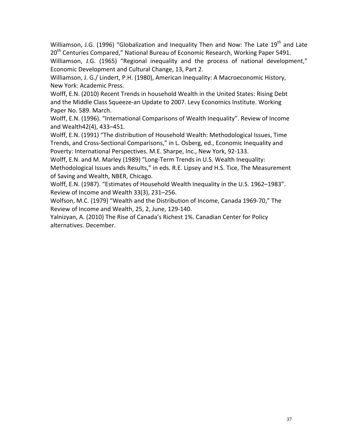Williamson, J.G. (1996) "Globalization and Inequality Then and Now: The Late  $19^{th}$  and Late  $20<sup>th</sup>$  Centuries Compared." National Bureau of Economic Research, Working Paper 5491. Williamson, J.G. (1965) "Regional inequality and the process of national development," Economic Development and Cultural Change, 13, Part 2.

Williamson, J. G./ Lindert, P.H. (1980), American Inequality: A Macroeconomic History, New York: Academic Press.

Wolff, E.N. (2010) Recent Trends in household Wealth in the United States: Rising Debt and the Middle Class Squeeze-an Update to 2007. Levy Economics Institute. Working Paper No. 589. March.

Wolff, E.N. (1996). "International Comparisons of Wealth Inequality". Review of Income and Wealth42(4), 433-451.

Wolff, E.N. (1991) "The distribution of Household Wealth: Methodological Issues, Time Trends, and Cross-Sectional Comparisons," in L. Osberg, ed., Economic Inequality and Poverty: International Perspectives. M.E. Sharpe, Inc., New York, 92-133.

Wolff, E.N. and M. Marley (1989) "Long-Term Trends in U.S. Wealth Inequality: Methodological Issues ands Results," in eds. R.E. Lipsey and H.S. Tice, The Measurement of Saving and Wealth, NBER, Chicago.

Wolff, E.N. (1987). "Estimates of Household Wealth Inequality in the U.S. 1962-1983". Review of Income and Wealth 33(3), 231-256.

Wolfson, M.C. (1979) "Wealth and the Distribution of Income, Canada 1969-70," The Review of Income and Wealth, 25, 2, June, 129-140.

Yalnizyan, A. (2010) The Rise of Canada's Richest 1%. Canadian Center for Policy alternatives. December.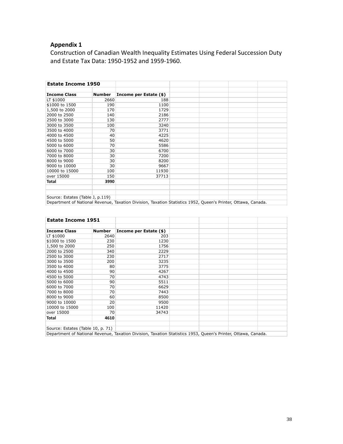# **Appendix 1**

Construction of Canadian Wealth Inequality Estimates Using Federal Succession Duty and Estate Tax Data: 1950-1952 and 1959-1960.

| <b>Estate Income 1950</b>        |               |                        |  |  |
|----------------------------------|---------------|------------------------|--|--|
|                                  |               |                        |  |  |
| <b>Income Class</b>              | <b>Number</b> | Income per Estate (\$) |  |  |
| LT \$1000                        | 2660          | 188                    |  |  |
| \$1000 to 1500                   | 190           | 1100                   |  |  |
| 1,500 to 2000                    | 170           | 1729                   |  |  |
| 2000 to 2500                     | 140           | 2186                   |  |  |
| 2500 to 3000                     | 130           | 2777                   |  |  |
| 3000 to 3500                     | 100           | 3240                   |  |  |
| 3500 to 4000                     | 70            | 3771                   |  |  |
| 4000 to 4500                     | 40            | 4225                   |  |  |
| 4500 to 5000                     | 50            | 4620                   |  |  |
| 5000 to 6000                     | 70            | 5586                   |  |  |
| 6000 to 7000                     | 30            | 6700                   |  |  |
| 7000 to 8000                     | 30            | 7200                   |  |  |
| 8000 to 9000                     | 30            | 8200                   |  |  |
| 9000 to 10000                    | 30            | 9667                   |  |  |
| 10000 to 15000                   | 100           | 11930                  |  |  |
| over 15000                       | 150           | 37713                  |  |  |
| Total                            | 3990          |                        |  |  |
|                                  |               |                        |  |  |
|                                  |               |                        |  |  |
| Source: Estates (Table J, p.119) |               |                        |  |  |

Department of National Revenue, Taxation Division, Taxation Statistics 1952, Queen's Printer, Ottawa, Canada.

| <b>Estate Income 1951</b>         |               |                                                                                                               |  |  |
|-----------------------------------|---------------|---------------------------------------------------------------------------------------------------------------|--|--|
|                                   |               |                                                                                                               |  |  |
| <b>Income Class</b>               | <b>Number</b> | Income per Estate (\$)                                                                                        |  |  |
| LT \$1000                         | 2640          | 203                                                                                                           |  |  |
| \$1000 to 1500                    | 230           | 1230                                                                                                          |  |  |
| 1,500 to 2000                     | 250           | 1756                                                                                                          |  |  |
| 2000 to 2500                      | 340           | 2229                                                                                                          |  |  |
| 2500 to 3000                      | 230           | 2717                                                                                                          |  |  |
| 3000 to 3500                      | 200           | 3235                                                                                                          |  |  |
| 3500 to 4000                      | 80            | 3775                                                                                                          |  |  |
| 4000 to 4500                      | 90            | 4267                                                                                                          |  |  |
| 4500 to 5000                      | 70            | 4743                                                                                                          |  |  |
| 5000 to 6000                      | 90            | 5511                                                                                                          |  |  |
| 6000 to 7000                      | 70            | 6629                                                                                                          |  |  |
| 7000 to 8000                      | 70            | 7443                                                                                                          |  |  |
| 8000 to 9000                      | 60            | 8500                                                                                                          |  |  |
| 9000 to 10000                     | 20            | 9500                                                                                                          |  |  |
| 10000 to 15000                    | 100           | 11420                                                                                                         |  |  |
| over 15000                        | 70            | 34743                                                                                                         |  |  |
| Total                             | 4610          |                                                                                                               |  |  |
|                                   |               |                                                                                                               |  |  |
| Source: Estates (Table 10, p. 71) |               |                                                                                                               |  |  |
|                                   |               | Department of National Revenue, Taxation Division, Taxation Statistics 1953, Queen's Printer, Ottawa, Canada. |  |  |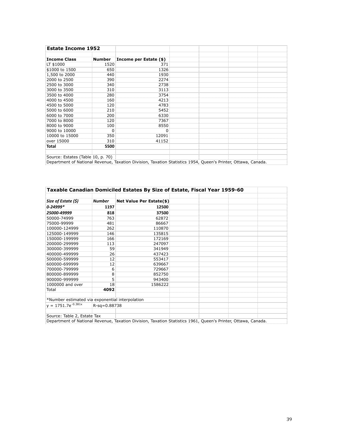| <b>Estate Income 1952</b>         |               |                        |                                                                                                               |  |
|-----------------------------------|---------------|------------------------|---------------------------------------------------------------------------------------------------------------|--|
|                                   |               |                        |                                                                                                               |  |
| <b>Income Class</b>               | <b>Number</b> | Income per Estate (\$) |                                                                                                               |  |
| LT \$1000                         | 1520          | 371                    |                                                                                                               |  |
| \$1000 to 1500                    | 650           | 1326                   |                                                                                                               |  |
| 1,500 to 2000                     | 440           | 1930                   |                                                                                                               |  |
| 2000 to 2500                      | 390           | 2274                   |                                                                                                               |  |
| 2500 to 3000                      | 340           | 2738                   |                                                                                                               |  |
| 3000 to 3500                      | 310           | 3113                   |                                                                                                               |  |
| 3500 to 4000                      | 280           | 3754                   |                                                                                                               |  |
| 4000 to 4500                      | 160           | 4213                   |                                                                                                               |  |
| 4500 to 5000                      | 120           | 4783                   |                                                                                                               |  |
| 5000 to 6000                      | 210           | 5452                   |                                                                                                               |  |
| 6000 to 7000                      | 200           | 6330                   |                                                                                                               |  |
| 7000 to 8000                      | 120           | 7367                   |                                                                                                               |  |
| 8000 to 9000                      | 100           | 8550                   |                                                                                                               |  |
| 9000 to 10000                     | 0             | 0                      |                                                                                                               |  |
| 10000 to 15000                    | 350           | 12091                  |                                                                                                               |  |
| over 15000                        | 310           | 41152                  |                                                                                                               |  |
| Total                             | 5500          |                        |                                                                                                               |  |
|                                   |               |                        |                                                                                                               |  |
| Source: Estates (Table 10, p. 70) |               |                        |                                                                                                               |  |
|                                   |               |                        | Department of National Revenue, Taxation Division, Taxation Statistics 1954, Queen's Printer, Ottawa, Canada. |  |

**Taxable Canadian Domiciled Estates By Size of Estate, Fiscal Year 1959-60** *Size of Estate (\$)* // *Number* Net Value Per Estate(\$) *a*-24999\* **1197 12500 818 17500**<br> **1818 17500**<br> **1763 182872** 50000-74999 763 62872 75000-99999 481 86667 100000-124999 262 125000-149999 146 135815 150000-199999 166 172169 200000-299999 113 247097 300000-399999 59 341949 400000-499999 26 437423 500000-599999 12 600000-699999 12 639667 700000-799999 6 729667 800000-899999 900000-999999 5<br>1000000 and over 18 18 1586222 1000000 and over Total **4092** \*Number estimated via exponential interpolation  $y = 1751.7e^{-0.381x}$   $R-sq=0.88738$ Source: Table 2, Estate Tax Department of National Revenue, Taxation Division, Taxation Statistics 1961, Queen's Printer, Ottawa, Canada.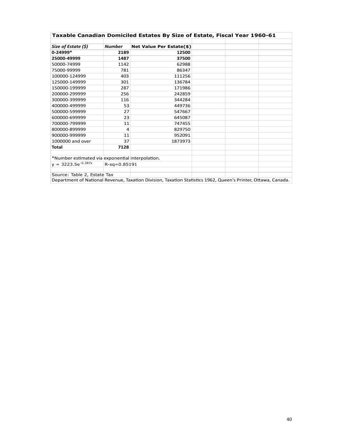| Taxable Canadian Domiciled Estates By Size of Estate, Fiscal Year 1960-61 |                |                                 |  |  |  |
|---------------------------------------------------------------------------|----------------|---------------------------------|--|--|--|
|                                                                           |                |                                 |  |  |  |
| Size of Estate (\$)                                                       | Number         | <b>Net Value Per Estate(\$)</b> |  |  |  |
| $0 - 24999*$                                                              | 2189           | 12500                           |  |  |  |
| 25000-49999                                                               | 1487           | 37500                           |  |  |  |
| 50000-74999                                                               | 1142           | 62988                           |  |  |  |
| 75000-99999                                                               | 781            | 86347                           |  |  |  |
| 100000-124999                                                             | 403            | 111256                          |  |  |  |
| 125000-149999                                                             | 301            | 136784                          |  |  |  |
| 150000-199999                                                             | 287            | 171986                          |  |  |  |
| 200000-299999                                                             | 256            | 242859                          |  |  |  |
| 300000-399999                                                             | 116            | 344284                          |  |  |  |
| 400000-499999                                                             | 53             | 449736                          |  |  |  |
| 500000-599999                                                             | 27             | 547667                          |  |  |  |
| 600000-699999                                                             | 23             | 645087                          |  |  |  |
| 700000-799999                                                             | 11             | 747455                          |  |  |  |
| 800000-899999                                                             | 4              | 829750                          |  |  |  |
| 900000-999999                                                             | 11             | 952091                          |  |  |  |
| 1000000 and over                                                          | 37             | 1873973                         |  |  |  |
| <b>Total</b>                                                              | 7128           |                                 |  |  |  |
|                                                                           |                |                                 |  |  |  |
| *Number estimated via exponential interpolation.                          |                |                                 |  |  |  |
| $y = 3223.5e^{-0.387x}$                                                   | $R-sq=0.85191$ |                                 |  |  |  |
|                                                                           |                |                                 |  |  |  |
| Source: Table 2, Estate Tax                                               |                |                                 |  |  |  |

Department of National Revenue, Taxation Division, Taxation Statistics 1962, Queen's Printer, Ottawa, Canada.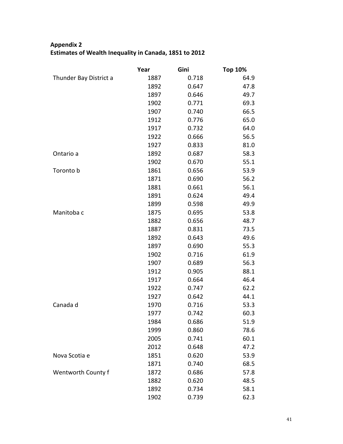# **Appendix 2** Estimates of Wealth Inequality in Canada, 1851 to 2012

|                        | Year | Gini  | <b>Top 10%</b> |
|------------------------|------|-------|----------------|
| Thunder Bay District a | 1887 | 0.718 | 64.9           |
|                        | 1892 | 0.647 | 47.8           |
|                        | 1897 | 0.646 | 49.7           |
|                        | 1902 | 0.771 | 69.3           |
|                        | 1907 | 0.740 | 66.5           |
|                        | 1912 | 0.776 | 65.0           |
|                        | 1917 | 0.732 | 64.0           |
|                        | 1922 | 0.666 | 56.5           |
|                        | 1927 | 0.833 | 81.0           |
| Ontario a              | 1892 | 0.687 | 58.3           |
|                        | 1902 | 0.670 | 55.1           |
| Toronto b              | 1861 | 0.656 | 53.9           |
|                        | 1871 | 0.690 | 56.2           |
|                        | 1881 | 0.661 | 56.1           |
|                        | 1891 | 0.624 | 49.4           |
|                        | 1899 | 0.598 | 49.9           |
| Manitoba c             | 1875 | 0.695 | 53.8           |
|                        | 1882 | 0.656 | 48.7           |
|                        | 1887 | 0.831 | 73.5           |
|                        | 1892 | 0.643 | 49.6           |
|                        | 1897 | 0.690 | 55.3           |
|                        | 1902 | 0.716 | 61.9           |
|                        | 1907 | 0.689 | 56.3           |
|                        | 1912 | 0.905 | 88.1           |
|                        | 1917 | 0.664 | 46.4           |
|                        | 1922 | 0.747 | 62.2           |
|                        | 1927 | 0.642 | 44.1           |
| Canada d               | 1970 | 0.716 | 53.3           |
|                        | 1977 | 0.742 | 60.3           |
|                        | 1984 | 0.686 | 51.9           |
|                        | 1999 | 0.860 | 78.6           |
|                        | 2005 | 0.741 | 60.1           |
|                        | 2012 | 0.648 | 47.2           |
| Nova Scotia e          | 1851 | 0.620 | 53.9           |
|                        | 1871 | 0.740 | 68.5           |
| Wentworth County f     | 1872 | 0.686 | 57.8           |
|                        | 1882 | 0.620 | 48.5           |
|                        | 1892 | 0.734 | 58.1           |
|                        | 1902 | 0.739 | 62.3           |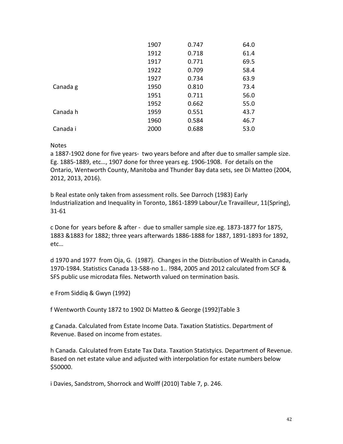|          | 1907 | 0.747 | 64.0 |
|----------|------|-------|------|
|          | 1912 | 0.718 | 61.4 |
|          | 1917 | 0.771 | 69.5 |
|          | 1922 | 0.709 | 58.4 |
|          | 1927 | 0.734 | 63.9 |
| Canada g | 1950 | 0.810 | 73.4 |
|          | 1951 | 0.711 | 56.0 |
|          | 1952 | 0.662 | 55.0 |
| Canada h | 1959 | 0.551 | 43.7 |
|          | 1960 | 0.584 | 46.7 |
| Canada i | 2000 | 0.688 | 53.0 |

## Notes

a 1887-1902 done for five years- two years before and after due to smaller sample size. Eg. 1885-1889, etc..., 1907 done for three years eg. 1906-1908. For details on the Ontario, Wentworth County, Manitoba and Thunder Bay data sets, see Di Matteo (2004, 2012, 2013, 2016).

b Real estate only taken from assessment rolls. See Darroch (1983) Early Industrialization and Inequality in Toronto, 1861-1899 Labour/Le Travailleur, 11(Spring), 31-61

c Done for years before & after - due to smaller sample size.eg. 1873-1877 for 1875, 1883 &1883 for 1882; three years afterwards 1886-1888 for 1887, 1891-1893 for 1892, etc…

d 1970 and 1977 from Oja, G. (1987). Changes in the Distribution of Wealth in Canada, 1970-1984. Statistics Canada 13-588-no 1.. !984, 2005 and 2012 calculated from SCF & SFS public use microdata files. Networth valued on termination basis.

e From Siddiq & Gwyn (1992)

f Wentworth County 1872 to 1902 Di Matteo & George (1992)Table 3

g Canada. Calculated from Estate Income Data. Taxation Statistics. Department of Revenue. Based on income from estates.

h Canada. Calculated from Estate Tax Data. Taxation Statistyics. Department of Revenue. Based on net estate value and adjusted with interpolation for estate numbers below \$50000.

i Davies, Sandstrom, Shorrock and Wolff (2010) Table 7, p. 246.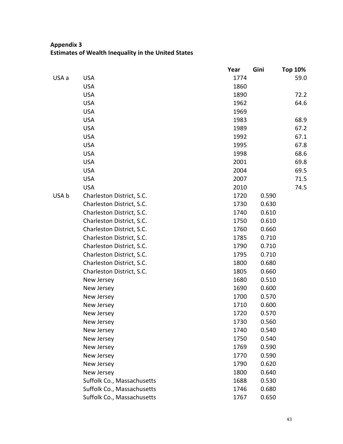# **Appendix 3 Estimates of Wealth Inequality in the United States**

|       |                            | Year | Gini  | <b>Top 10%</b> |
|-------|----------------------------|------|-------|----------------|
| USA a | <b>USA</b>                 | 1774 |       | 59.0           |
|       | <b>USA</b>                 | 1860 |       |                |
|       | <b>USA</b>                 | 1890 |       | 72.2           |
|       | <b>USA</b>                 | 1962 |       | 64.6           |
|       | <b>USA</b>                 | 1969 |       |                |
|       | <b>USA</b>                 | 1983 |       | 68.9           |
|       | <b>USA</b>                 | 1989 |       | 67.2           |
|       | <b>USA</b>                 | 1992 |       | 67.1           |
|       | <b>USA</b>                 | 1995 |       | 67.8           |
|       | <b>USA</b>                 | 1998 |       | 68.6           |
|       | <b>USA</b>                 | 2001 |       | 69.8           |
|       | <b>USA</b>                 | 2004 |       | 69.5           |
|       | <b>USA</b>                 | 2007 |       | 71.5           |
|       | <b>USA</b>                 | 2010 |       | 74.5           |
| USA b | Charleston District, S.C.  | 1720 | 0.590 |                |
|       | Charleston District, S.C.  | 1730 | 0.630 |                |
|       | Charleston District, S.C.  | 1740 | 0.610 |                |
|       | Charleston District, S.C.  | 1750 | 0.610 |                |
|       | Charleston District, S.C.  | 1760 | 0.660 |                |
|       | Charleston District, S.C.  | 1785 | 0.710 |                |
|       | Charleston District, S.C.  | 1790 | 0.710 |                |
|       | Charleston District, S.C.  | 1795 | 0.710 |                |
|       | Charleston District, S.C.  | 1800 | 0.680 |                |
|       | Charleston District, S.C.  | 1805 | 0.660 |                |
|       | New Jersey                 | 1680 | 0.510 |                |
|       | New Jersey                 | 1690 | 0.600 |                |
|       | New Jersey                 | 1700 | 0.570 |                |
|       | New Jersey                 | 1710 | 0.600 |                |
|       | New Jersey                 | 1720 | 0.570 |                |
|       | New Jersey                 | 1730 | 0.560 |                |
|       | New Jersey                 | 1740 | 0.540 |                |
|       | New Jersey                 | 1750 | 0.540 |                |
|       | New Jersey                 | 1769 | 0.590 |                |
|       | New Jersey                 | 1770 | 0.590 |                |
|       | New Jersey                 | 1790 | 0.620 |                |
|       | New Jersey                 | 1800 | 0.640 |                |
|       | Suffolk Co., Massachusetts | 1688 | 0.530 |                |
|       | Suffolk Co., Massachusetts | 1746 | 0.680 |                |
|       | Suffolk Co., Massachusetts | 1767 | 0.650 |                |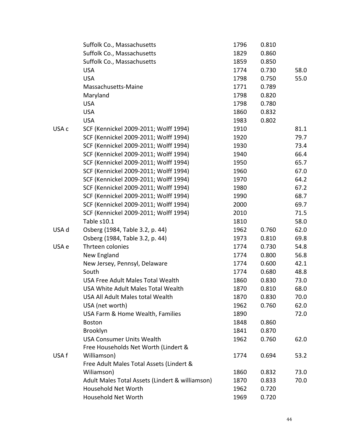|       | Suffolk Co., Massachusetts                      | 1796 | 0.810 |      |
|-------|-------------------------------------------------|------|-------|------|
|       | Suffolk Co., Massachusetts                      | 1829 | 0.860 |      |
|       | Suffolk Co., Massachusetts                      | 1859 | 0.850 |      |
|       | <b>USA</b>                                      | 1774 | 0.730 | 58.0 |
|       | <b>USA</b>                                      | 1798 | 0.750 | 55.0 |
|       | Massachusetts-Maine                             | 1771 | 0.789 |      |
|       | Maryland                                        | 1798 | 0.820 |      |
|       | <b>USA</b>                                      | 1798 | 0.780 |      |
|       | <b>USA</b>                                      | 1860 | 0.832 |      |
|       | <b>USA</b>                                      | 1983 | 0.802 |      |
| USA c | SCF (Kennickel 2009-2011; Wolff 1994)           | 1910 |       | 81.1 |
|       | SCF (Kennickel 2009-2011; Wolff 1994)           | 1920 |       | 79.7 |
|       | SCF (Kennickel 2009-2011; Wolff 1994)           | 1930 |       | 73.4 |
|       | SCF (Kennickel 2009-2011; Wolff 1994)           | 1940 |       | 66.4 |
|       | SCF (Kennickel 2009-2011; Wolff 1994)           | 1950 |       | 65.7 |
|       | SCF (Kennickel 2009-2011; Wolff 1994)           | 1960 |       | 67.0 |
|       | SCF (Kennickel 2009-2011; Wolff 1994)           | 1970 |       | 64.2 |
|       | SCF (Kennickel 2009-2011; Wolff 1994)           | 1980 |       | 67.2 |
|       | SCF (Kennickel 2009-2011; Wolff 1994)           | 1990 |       | 68.7 |
|       | SCF (Kennickel 2009-2011; Wolff 1994)           | 2000 |       | 69.7 |
|       | SCF (Kennickel 2009-2011; Wolff 1994)           | 2010 |       | 71.5 |
|       | Table s10.1                                     | 1810 |       | 58.0 |
| USA d | Osberg (1984, Table 3.2, p. 44)                 | 1962 | 0.760 | 62.0 |
|       | Osberg (1984, Table 3.2, p. 44)                 | 1973 | 0.810 | 69.8 |
| USA e | Thrteen colonies                                | 1774 | 0.730 | 54.8 |
|       | New England                                     | 1774 | 0.800 | 56.8 |
|       | New Jersey, Pennsyl, Delaware                   | 1774 | 0.600 | 42.1 |
|       | South                                           | 1774 | 0.680 | 48.8 |
|       | <b>USA Free Adult Males Total Wealth</b>        | 1860 | 0.830 | 73.0 |
|       | USA White Adult Males Total Wealth              | 1870 | 0.810 | 68.0 |
|       | USA All Adult Males total Wealth                | 1870 | 0.830 | 70.0 |
|       | USA (net worth)                                 | 1962 | 0.760 | 62.0 |
|       | USA Farm & Home Wealth, Families                | 1890 |       | 72.0 |
|       | <b>Boston</b>                                   | 1848 | 0.860 |      |
|       | Brooklyn                                        | 1841 | 0.870 |      |
|       | <b>USA Consumer Units Wealth</b>                | 1962 | 0.760 | 62.0 |
|       | Free Households Net Worth (Lindert &            |      |       |      |
| USA f | Williamson)                                     | 1774 | 0.694 | 53.2 |
|       | Free Adult Males Total Assets (Lindert &        |      |       |      |
|       | Wiliamson)                                      | 1860 | 0.832 | 73.0 |
|       | Adult Males Total Assets (Lindert & williamson) | 1870 | 0.833 | 70.0 |
|       | Household Net Worth                             | 1962 | 0.720 |      |
|       | Household Net Worth                             | 1969 | 0.720 |      |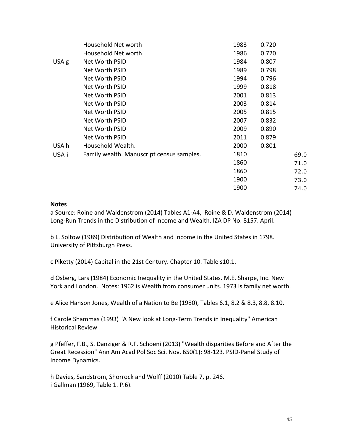|       | Household Net worth                       | 1983 | 0.720 |      |
|-------|-------------------------------------------|------|-------|------|
|       | Household Net worth                       | 1986 | 0.720 |      |
| USA g | Net Worth PSID                            | 1984 | 0.807 |      |
|       | Net Worth PSID                            | 1989 | 0.798 |      |
|       | Net Worth PSID                            | 1994 | 0.796 |      |
|       | Net Worth PSID                            | 1999 | 0.818 |      |
|       | Net Worth PSID                            | 2001 | 0.813 |      |
|       | Net Worth PSID                            | 2003 | 0.814 |      |
|       | Net Worth PSID                            | 2005 | 0.815 |      |
|       | Net Worth PSID                            | 2007 | 0.832 |      |
|       | Net Worth PSID                            | 2009 | 0.890 |      |
|       | Net Worth PSID                            | 2011 | 0.879 |      |
| USA h | Household Wealth.                         | 2000 | 0.801 |      |
| USA i | Family wealth. Manuscript census samples. | 1810 |       | 69.0 |
|       |                                           | 1860 |       | 71.0 |
|       |                                           | 1860 |       | 72.0 |
|       |                                           | 1900 |       | 73.0 |
|       |                                           | 1900 |       | 74.0 |

#### **Notes**

a Source: Roine and Waldenstrom (2014) Tables A1-A4, Roine & D. Waldenstrom (2014) Long-Run Trends in the Distribution of Income and Wealth. IZA DP No. 8157. April.

b L. Soltow (1989) Distribution of Wealth and Income in the United States in 1798. University of Pittsburgh Press.

c Piketty (2014) Capital in the 21st Century. Chapter 10. Table s10.1.

d Osberg, Lars (1984) Economic Inequality in the United States. M.E. Sharpe, Inc. New York and London. Notes: 1962 is Wealth from consumer units. 1973 is family net worth.

e Alice Hanson Jones, Wealth of a Nation to Be (1980), Tables 6.1, 8.2 & 8.3, 8.8, 8.10.

f Carole Shammas (1993) "A New look at Long-Term Trends in Inequality" American Historical Review

g Pfeffer, F.B., S. Danziger & R.F. Schoeni (2013) "Wealth disparities Before and After the Great Recession" Ann Am Acad Pol Soc Sci. Nov. 650(1): 98-123. PSID-Panel Study of Income Dynamics.

h Davies, Sandstrom, Shorrock and Wolff (2010) Table 7, p. 246. i Gallman (1969, Table 1. P.6).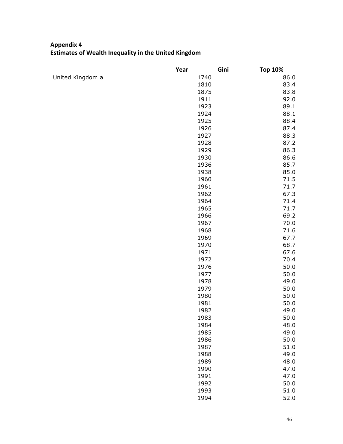# **Appendix 4 Estimates of Wealth Inequality in the United Kingdom**

|                  | Year | Gini | <b>Top 10%</b> |
|------------------|------|------|----------------|
| United Kingdom a | 1740 |      | 86.0           |
|                  | 1810 |      | 83.4           |
|                  | 1875 |      | 83.8           |
|                  | 1911 |      | 92.0           |
|                  | 1923 |      | 89.1           |
|                  | 1924 |      | 88.1           |
|                  | 1925 |      | 88.4           |
|                  | 1926 |      | 87.4           |
|                  | 1927 |      | 88.3           |
|                  | 1928 |      | 87.2           |
|                  | 1929 |      | 86.3           |
|                  | 1930 |      | 86.6           |
|                  | 1936 |      | 85.7           |
|                  | 1938 |      | 85.0           |
|                  | 1960 |      | 71.5           |
|                  | 1961 |      | 71.7           |
|                  | 1962 |      | 67.3           |
|                  | 1964 |      | 71.4           |
|                  | 1965 |      | 71.7           |
|                  | 1966 |      | 69.2           |
|                  | 1967 |      | 70.0           |
|                  | 1968 |      | 71.6           |
|                  | 1969 |      | 67.7           |
|                  | 1970 |      | 68.7           |
|                  | 1971 |      | 67.6           |
|                  | 1972 |      | 70.4           |
|                  | 1976 |      | 50.0           |
|                  | 1977 |      | 50.0           |
|                  | 1978 |      | 49.0           |
|                  | 1979 |      | 50.0           |
|                  | 1980 |      | 50.0           |
|                  | 1981 |      | 50.0           |
|                  | 1982 |      | 49.0           |
|                  | 1983 |      | 50.0           |
|                  | 1984 |      | 48.0           |
|                  | 1985 |      | 49.0           |
|                  | 1986 |      | 50.0           |
|                  | 1987 |      | 51.0           |
|                  | 1988 |      | 49.0           |
|                  | 1989 |      | 48.0           |
|                  | 1990 |      | 47.0           |
|                  | 1991 |      | 47.0           |
|                  | 1992 |      | 50.0           |
|                  | 1993 |      | 51.0           |
|                  | 1994 |      | 52.0           |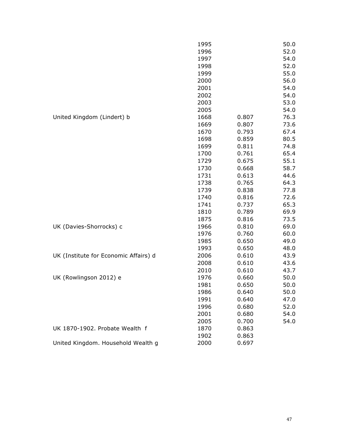|                                       | 1995 |       | 50.0 |
|---------------------------------------|------|-------|------|
|                                       | 1996 |       | 52.0 |
|                                       | 1997 |       | 54.0 |
|                                       | 1998 |       | 52.0 |
|                                       | 1999 |       | 55.0 |
|                                       | 2000 |       | 56.0 |
|                                       | 2001 |       | 54.0 |
|                                       | 2002 |       | 54.0 |
|                                       | 2003 |       | 53.0 |
|                                       | 2005 |       | 54.0 |
| United Kingdom (Lindert) b            | 1668 | 0.807 | 76.3 |
|                                       | 1669 | 0.807 | 73.6 |
|                                       | 1670 | 0.793 | 67.4 |
|                                       | 1698 | 0.859 | 80.5 |
|                                       | 1699 | 0.811 | 74.8 |
|                                       | 1700 | 0.761 | 65.4 |
|                                       | 1729 | 0.675 | 55.1 |
|                                       | 1730 | 0.668 | 58.7 |
|                                       | 1731 | 0.613 | 44.6 |
|                                       | 1738 | 0.765 | 64.3 |
|                                       | 1739 | 0.838 | 77.8 |
|                                       | 1740 | 0.816 | 72.6 |
|                                       | 1741 | 0.737 | 65.3 |
|                                       | 1810 | 0.789 | 69.9 |
|                                       | 1875 | 0.816 | 73.5 |
| UK (Davies-Shorrocks) c               | 1966 | 0.810 | 69.0 |
|                                       | 1976 | 0.760 | 60.0 |
|                                       | 1985 | 0.650 | 49.0 |
|                                       | 1993 | 0.650 | 48.0 |
| UK (Institute for Economic Affairs) d | 2006 | 0.610 | 43.9 |
|                                       | 2008 | 0.610 | 43.6 |
|                                       | 2010 | 0.610 | 43.7 |
| UK (Rowlingson 2012) e                | 1976 | 0.660 | 50.0 |
|                                       | 1981 | 0.650 | 50.0 |
|                                       | 1986 | 0.640 | 50.0 |
|                                       | 1991 | 0.640 | 47.0 |
|                                       | 1996 | 0.680 | 52.0 |
|                                       | 2001 | 0.680 | 54.0 |
|                                       | 2005 | 0.700 | 54.0 |
| UK 1870-1902. Probate Wealth f        | 1870 | 0.863 |      |
|                                       | 1902 | 0.863 |      |
| United Kingdom. Household Wealth g    | 2000 | 0.697 |      |
|                                       |      |       |      |